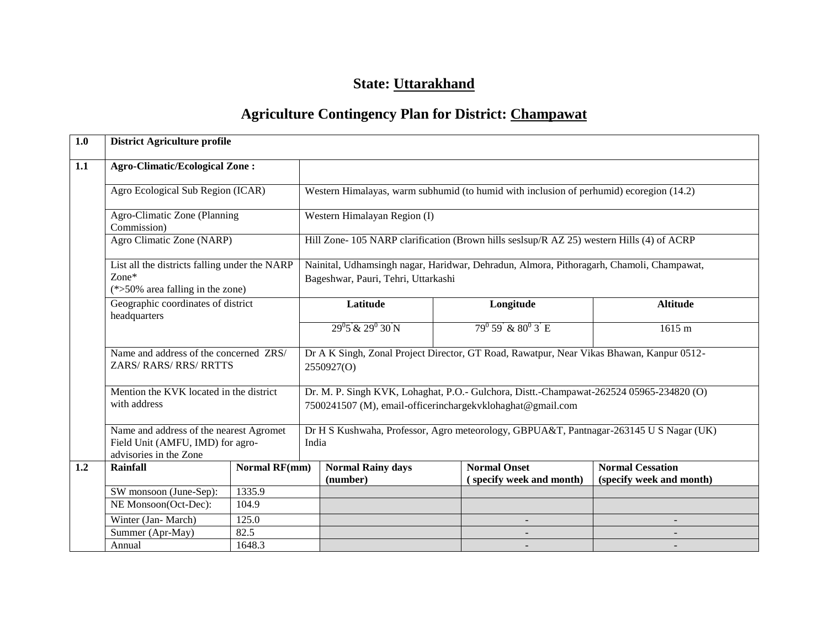# **State: Uttarakhand**

# **Agriculture Contingency Plan for District: Champawat**

| 1.0 | <b>District Agriculture profile</b>                                                                   |                                                                                      |                                                                                                 |                                      |                                                                                                                                                       |                                                                                           |                                                     |  |  |  |  |
|-----|-------------------------------------------------------------------------------------------------------|--------------------------------------------------------------------------------------|-------------------------------------------------------------------------------------------------|--------------------------------------|-------------------------------------------------------------------------------------------------------------------------------------------------------|-------------------------------------------------------------------------------------------|-----------------------------------------------------|--|--|--|--|
| 1.1 | <b>Agro-Climatic/Ecological Zone:</b>                                                                 |                                                                                      |                                                                                                 |                                      |                                                                                                                                                       |                                                                                           |                                                     |  |  |  |  |
|     | Agro Ecological Sub Region (ICAR)                                                                     |                                                                                      |                                                                                                 |                                      |                                                                                                                                                       | Western Himalayas, warm subhumid (to humid with inclusion of perhumid) ecoregion (14.2)   |                                                     |  |  |  |  |
|     | Agro-Climatic Zone (Planning<br>Commission)                                                           |                                                                                      |                                                                                                 | Western Himalayan Region (I)         |                                                                                                                                                       |                                                                                           |                                                     |  |  |  |  |
|     | Agro Climatic Zone (NARP)                                                                             |                                                                                      |                                                                                                 |                                      |                                                                                                                                                       | Hill Zone- 105 NARP clarification (Brown hills seslsup/R AZ 25) western Hills (4) of ACRP |                                                     |  |  |  |  |
|     | $Zone*$                                                                                               | List all the districts falling under the NARP<br>$(*>50\%$ area falling in the zone) |                                                                                                 |                                      | Bageshwar, Pauri, Tehri, Uttarkashi                                                                                                                   | Nainital, Udhamsingh nagar, Haridwar, Dehradun, Almora, Pithoragarh, Chamoli, Champawat,  |                                                     |  |  |  |  |
|     | Geographic coordinates of district                                                                    |                                                                                      |                                                                                                 | Latitude                             |                                                                                                                                                       | Longitude                                                                                 | <b>Altitude</b>                                     |  |  |  |  |
|     | headquarters                                                                                          |                                                                                      |                                                                                                 | $29^{0}5 \& 29^{0}30 \text{ N}$      |                                                                                                                                                       | $79^{\circ} 59 \& 80^{\circ} 3 \text{ E}$                                                 | 1615 m                                              |  |  |  |  |
|     |                                                                                                       | Name and address of the concerned ZRS/<br>ZARS/RARS/RRS/RRTTS                        |                                                                                                 |                                      | Dr A K Singh, Zonal Project Director, GT Road, Rawatpur, Near Vikas Bhawan, Kanpur 0512-<br>2550927(O)                                                |                                                                                           |                                                     |  |  |  |  |
|     | with address                                                                                          | Mention the KVK located in the district                                              |                                                                                                 |                                      | Dr. M. P. Singh KVK, Lohaghat, P.O.- Gulchora, Distt.-Champawat-262524 05965-234820 (O)<br>7500241507 (M), email-officerinchargekvklohaghat@gmail.com |                                                                                           |                                                     |  |  |  |  |
|     | Name and address of the nearest Agromet<br>Field Unit (AMFU, IMD) for agro-<br>advisories in the Zone |                                                                                      | Dr H S Kushwaha, Professor, Agro meteorology, GBPUA&T, Pantnagar-263145 U S Nagar (UK)<br>India |                                      |                                                                                                                                                       |                                                                                           |                                                     |  |  |  |  |
| 1.2 | <b>Rainfall</b>                                                                                       | <b>Normal RF(mm)</b>                                                                 |                                                                                                 | <b>Normal Rainy days</b><br>(number) |                                                                                                                                                       | <b>Normal Onset</b><br>(specify week and month)                                           | <b>Normal Cessation</b><br>(specify week and month) |  |  |  |  |
|     | 1335.9<br>SW monsoon (June-Sep):                                                                      |                                                                                      |                                                                                                 |                                      |                                                                                                                                                       |                                                                                           |                                                     |  |  |  |  |
|     | NE Monsoon(Oct-Dec):                                                                                  | 104.9                                                                                |                                                                                                 |                                      |                                                                                                                                                       |                                                                                           |                                                     |  |  |  |  |
|     | Winter (Jan-March)<br>125.0                                                                           |                                                                                      |                                                                                                 |                                      |                                                                                                                                                       |                                                                                           |                                                     |  |  |  |  |
|     | 82.5<br>Summer (Apr-May)                                                                              |                                                                                      |                                                                                                 |                                      |                                                                                                                                                       |                                                                                           |                                                     |  |  |  |  |
|     | 1648.3<br>Annual                                                                                      |                                                                                      |                                                                                                 |                                      |                                                                                                                                                       |                                                                                           |                                                     |  |  |  |  |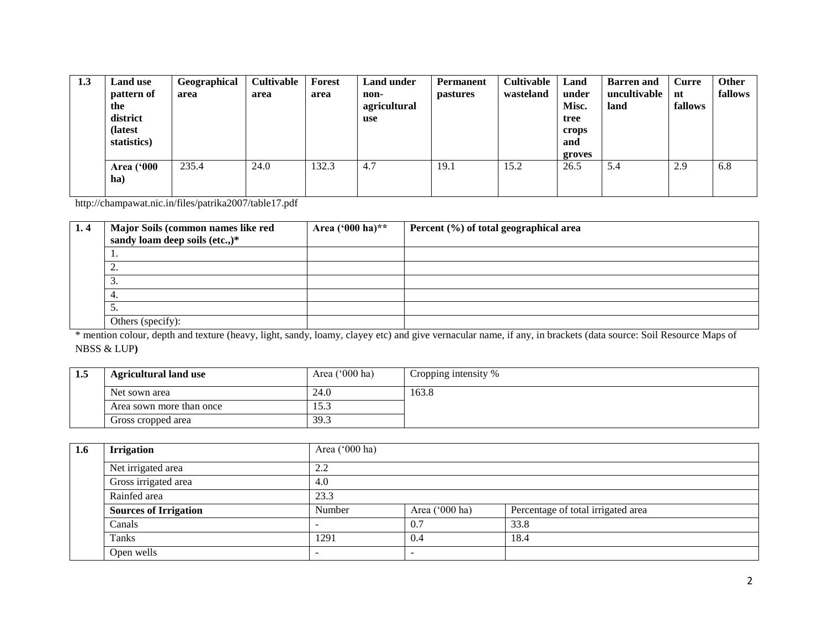| 1.3 | <b>Land use</b><br>pattern of<br>the<br>district<br>(latest)<br>statistics) | Geographical<br>area | <b>Cultivable</b><br>area | Forest<br>area | <b>Land under</b><br>non-<br>agricultural<br><b>use</b> | <b>Permanent</b><br><b>pastures</b> | Cultivable<br>wasteland | Land<br>under<br>Misc.<br>tree<br>crops<br>and<br>groves | <b>Barren and</b><br>uncultivable<br>land | Curre<br>nt<br>fallows | <b>Other</b><br>fallows |
|-----|-----------------------------------------------------------------------------|----------------------|---------------------------|----------------|---------------------------------------------------------|-------------------------------------|-------------------------|----------------------------------------------------------|-------------------------------------------|------------------------|-------------------------|
|     | <b>Area</b> ('000<br>ha)                                                    | 235.4                | 24.0                      | 132.3          | 4.7                                                     | 19.1                                | 15.2                    | 26.5                                                     | 5.4                                       | 2.9                    | 6.8                     |

http://champawat.nic.in/files/patrika2007/table17.pdf

| 1.4 | Major Soils (common names like red<br>sandy loam deep soils (etc.,)* | Area $(^{6}00$ ha)** | Percent $(\%)$ of total geographical area |
|-----|----------------------------------------------------------------------|----------------------|-------------------------------------------|
|     | <b>L</b> (                                                           |                      |                                           |
|     | ، سه                                                                 |                      |                                           |
|     | J.                                                                   |                      |                                           |
|     | 4                                                                    |                      |                                           |
|     | J.                                                                   |                      |                                           |
|     | Others (specify):                                                    |                      |                                           |

\* mention colour, depth and texture (heavy, light, sandy, loamy, clayey etc) and give vernacular name, if any, in brackets (data source: Soil Resource Maps of NBSS & LUP**)**

| 1.5 | <b>Agricultural land use</b> | Area $('000 ha)$ | Cropping intensity % |  |  |
|-----|------------------------------|------------------|----------------------|--|--|
|     | Net sown area                | 24.0             | 163.8                |  |  |
|     | Area sown more than once     | 1 J .J           |                      |  |  |
|     | Gross cropped area           | 39.3             |                      |  |  |

| 1.6 | <b>Irrigation</b>            | Area ('000 ha) |                     |                                    |  |  |  |  |
|-----|------------------------------|----------------|---------------------|------------------------------------|--|--|--|--|
|     | Net irrigated area           | 2.2            |                     |                                    |  |  |  |  |
|     | Gross irrigated area         | 4.0            |                     |                                    |  |  |  |  |
|     | Rainfed area                 | 23.3           |                     |                                    |  |  |  |  |
|     | <b>Sources of Irrigation</b> | Number         | Area ('000 ha)      | Percentage of total irrigated area |  |  |  |  |
|     | Canals                       |                | $\hspace{.1cm} 0.1$ | 33.8                               |  |  |  |  |
|     | Tanks                        | 1291           | 0.4                 | 18.4                               |  |  |  |  |
|     | Open wells                   |                |                     |                                    |  |  |  |  |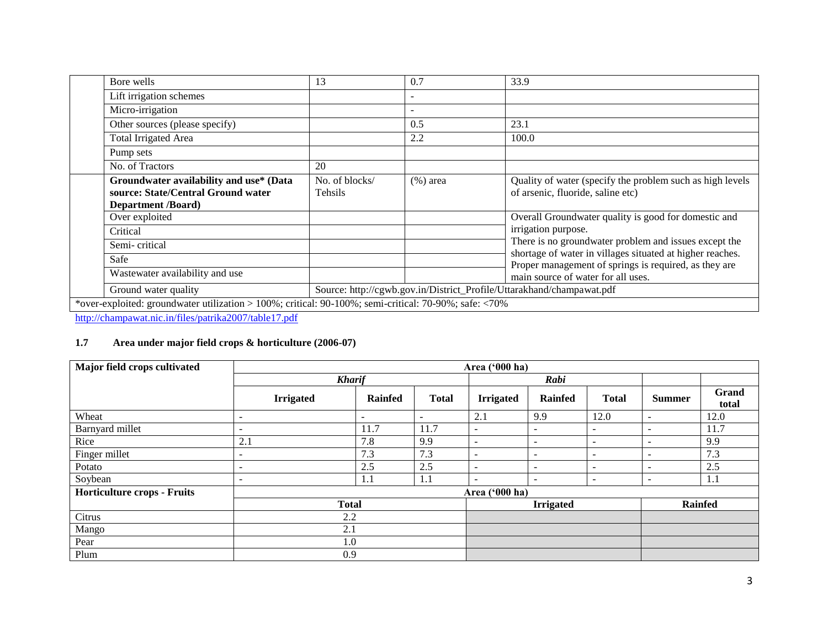| Bore wells                                                                                                 | 13                                                                    | 0.7                      | 33.9                                                                                                               |  |  |  |
|------------------------------------------------------------------------------------------------------------|-----------------------------------------------------------------------|--------------------------|--------------------------------------------------------------------------------------------------------------------|--|--|--|
| Lift irrigation schemes                                                                                    |                                                                       |                          |                                                                                                                    |  |  |  |
| Micro-irrigation                                                                                           |                                                                       | $\overline{\phantom{0}}$ |                                                                                                                    |  |  |  |
| Other sources (please specify)                                                                             |                                                                       | 0.5                      | 23.1                                                                                                               |  |  |  |
| <b>Total Irrigated Area</b>                                                                                |                                                                       | 2.2                      | 100.0                                                                                                              |  |  |  |
| Pump sets                                                                                                  |                                                                       |                          |                                                                                                                    |  |  |  |
| No. of Tractors                                                                                            | 20                                                                    |                          |                                                                                                                    |  |  |  |
| Groundwater availability and use* (Data<br>source: State/Central Ground water<br><b>Department /Board)</b> | No. of blocks/<br>Tehsils                                             | $(\% )$ area             | Quality of water (specify the problem such as high levels<br>of arsenic, fluoride, saline etc)                     |  |  |  |
| Over exploited                                                                                             |                                                                       |                          | Overall Groundwater quality is good for domestic and                                                               |  |  |  |
| Critical                                                                                                   |                                                                       |                          | irrigation purpose.                                                                                                |  |  |  |
| Semi-critical                                                                                              |                                                                       |                          | There is no groundwater problem and issues except the                                                              |  |  |  |
| Safe                                                                                                       |                                                                       |                          | shortage of water in villages situated at higher reaches.<br>Proper management of springs is required, as they are |  |  |  |
| Wastewater availability and use                                                                            |                                                                       |                          | main source of water for all uses.                                                                                 |  |  |  |
| Ground water quality                                                                                       | Source: http://cgwb.gov.in/District_Profile/Uttarakhand/champawat.pdf |                          |                                                                                                                    |  |  |  |
| *over-exploited: groundwater utilization > 100%; critical: 90-100%; semi-critical: 70-90%; safe: <70%      |                                                                       |                          |                                                                                                                    |  |  |  |

<http://champawat.nic.in/files/patrika2007/table17.pdf>

## **1.7 Area under major field crops & horticulture (2006-07)**

| Major field crops cultivated       | Area ('000 ha)           |                |                          |                          |                          |                          |                              |                |
|------------------------------------|--------------------------|----------------|--------------------------|--------------------------|--------------------------|--------------------------|------------------------------|----------------|
|                                    | <b>Kharif</b>            |                |                          |                          | Rabi                     |                          |                              |                |
|                                    | <b>Irrigated</b>         | <b>Rainfed</b> | <b>Total</b>             | <b>Irrigated</b>         | <b>Rainfed</b>           | <b>Total</b>             | <b>Summer</b>                | Grand<br>total |
| Wheat                              | $\overline{\phantom{a}}$ | ۰              | $\overline{\phantom{a}}$ | 2.1                      | 9.9                      | 12.0                     | $\overline{\phantom{a}}$     | 12.0           |
| Barnyard millet                    | $\overline{\phantom{a}}$ | 11.7           | 11.7                     | $\overline{\phantom{m}}$ | $\overline{\phantom{a}}$ |                          |                              | 11.7           |
| Rice                               | 2.1                      | 7.8            | 9.9                      | $\overline{\phantom{a}}$ | $\overline{\phantom{a}}$ | $\overline{\phantom{0}}$ | $\overline{\phantom{0}}$     | 9.9            |
| Finger millet                      | $\overline{\phantom{a}}$ | 7.3            | 7.3                      | $\overline{\phantom{0}}$ | $\overline{\phantom{a}}$ | $\overline{\phantom{a}}$ | $\qquad \qquad \blacksquare$ | 7.3            |
| Potato                             | $\overline{\phantom{a}}$ | 2.5            | 2.5                      | $\overline{\phantom{0}}$ | $\overline{\phantom{a}}$ |                          |                              | 2.5            |
| Soybean                            | $\overline{\phantom{a}}$ | 1.1            | 1.1                      | $\overline{\phantom{a}}$ | $\overline{\phantom{a}}$ | $\overline{\phantom{a}}$ | -                            | 1.1            |
| <b>Horticulture crops - Fruits</b> |                          |                |                          | Area ('000 ha)           |                          |                          |                              |                |
|                                    | <b>Total</b>             |                |                          |                          | <b>Irrigated</b>         |                          |                              | <b>Rainfed</b> |
| Citrus                             | 2.2                      |                |                          |                          |                          |                          |                              |                |
| Mango                              | 2.1                      |                |                          |                          |                          |                          |                              |                |
| Pear                               | 1.0                      |                |                          |                          |                          |                          |                              |                |
| Plum                               | 0.9                      |                |                          |                          |                          |                          |                              |                |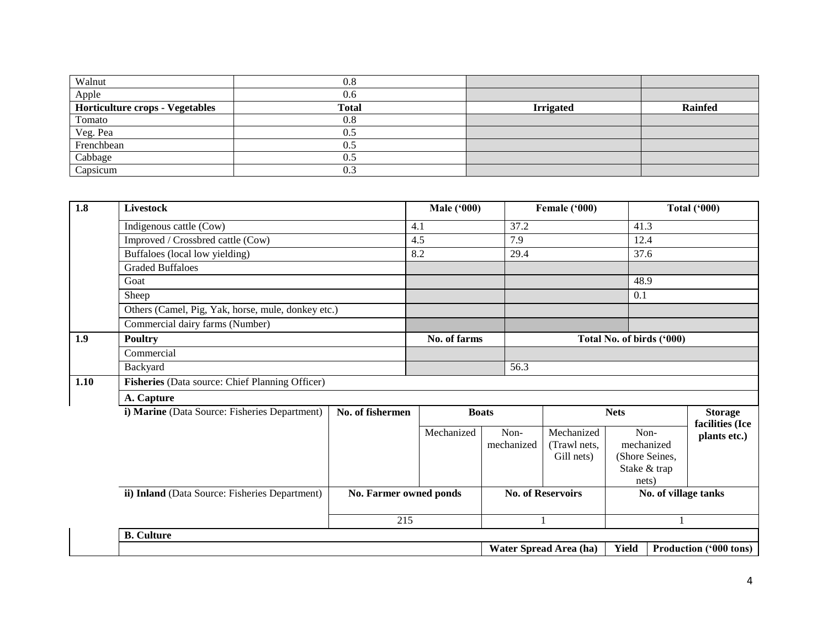| Walnut                                 | 0.8          |                  |                |
|----------------------------------------|--------------|------------------|----------------|
| Apple                                  | 0.6          |                  |                |
| <b>Horticulture crops - Vegetables</b> | <b>Total</b> | <b>Irrigated</b> | <b>Rainfed</b> |
| Tomato                                 | 0.8          |                  |                |
| Veg. Pea                               | 0.5          |                  |                |
| Frenchbean                             | 0.5          |                  |                |
| Cabbage                                | 0.5          |                  |                |
| Capsicum                               | 0.3          |                  |                |

| 1.8  | Livestock                                          |                        | <b>Male ('000)</b> |                    | Female ('000)                            |                           |                                                      | <b>Total ('000)</b>             |  |
|------|----------------------------------------------------|------------------------|--------------------|--------------------|------------------------------------------|---------------------------|------------------------------------------------------|---------------------------------|--|
|      | Indigenous cattle (Cow)                            |                        | 4.1                | 37.2               |                                          | 41.3                      |                                                      |                                 |  |
|      | Improved / Crossbred cattle (Cow)                  |                        | 4.5                | 7.9                |                                          | 12.4                      |                                                      |                                 |  |
|      | Buffaloes (local low yielding)                     |                        | 8.2                | 29.4               |                                          | 37.6                      |                                                      |                                 |  |
|      | <b>Graded Buffaloes</b>                            |                        |                    |                    |                                          |                           |                                                      |                                 |  |
|      | Goat                                               |                        |                    |                    |                                          | 48.9                      |                                                      |                                 |  |
|      | Sheep                                              |                        |                    |                    |                                          | 0.1                       |                                                      |                                 |  |
|      | Others (Camel, Pig, Yak, horse, mule, donkey etc.) |                        |                    |                    |                                          |                           |                                                      |                                 |  |
|      | Commercial dairy farms (Number)                    |                        |                    |                    |                                          |                           |                                                      |                                 |  |
| 1.9  | <b>Poultry</b>                                     |                        | No. of farms       |                    |                                          | Total No. of birds ('000) |                                                      |                                 |  |
|      | Commercial                                         |                        |                    |                    |                                          |                           |                                                      |                                 |  |
|      | Backyard                                           |                        |                    | 56.3               |                                          |                           |                                                      |                                 |  |
| 1.10 | Fisheries (Data source: Chief Planning Officer)    |                        |                    |                    |                                          |                           |                                                      |                                 |  |
|      | A. Capture                                         |                        |                    |                    |                                          |                           |                                                      |                                 |  |
|      | i) Marine (Data Source: Fisheries Department)      | No. of fishermen       |                    | <b>Boats</b>       |                                          | <b>Nets</b>               |                                                      | <b>Storage</b>                  |  |
|      |                                                    |                        | Mechanized         | Non-<br>mechanized | Mechanized<br>(Trawl nets.<br>Gill nets) | nets)                     | Non-<br>mechanized<br>(Shore Seines,<br>Stake & trap | facilities (Ice<br>plants etc.) |  |
|      | ii) Inland (Data Source: Fisheries Department)     | No. Farmer owned ponds |                    |                    | <b>No. of Reservoirs</b>                 |                           |                                                      | No. of village tanks            |  |
|      |                                                    | 215                    |                    |                    |                                          |                           |                                                      |                                 |  |
|      | <b>B.</b> Culture                                  |                        |                    |                    |                                          |                           |                                                      |                                 |  |
|      |                                                    |                        |                    |                    | Water Spread Area (ha)                   | <b>Yield</b>              |                                                      | Production ('000 tons)          |  |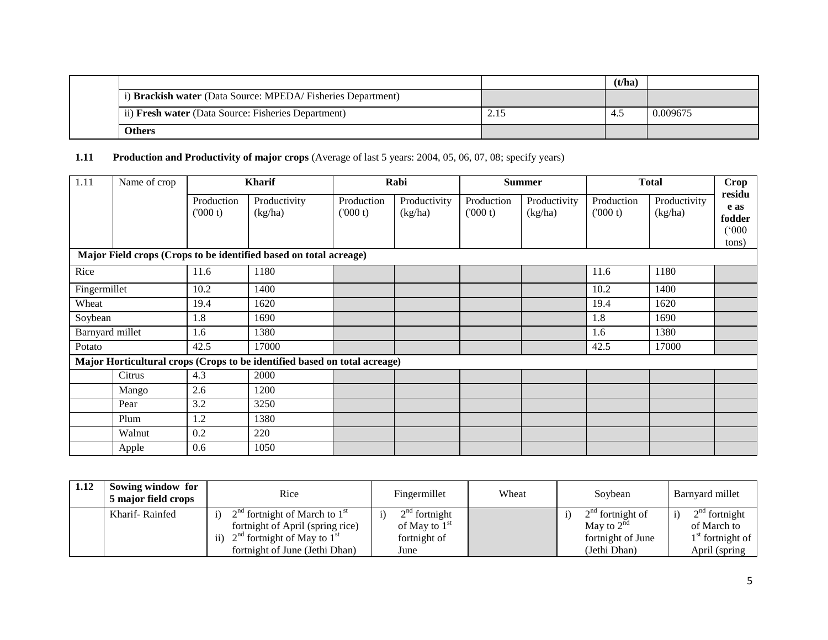|                                                             |      | (t/ha) |          |
|-------------------------------------------------------------|------|--------|----------|
| i) Brackish water (Data Source: MPEDA/Fisheries Department) |      |        |          |
| ii) Fresh water (Data Source: Fisheries Department)         | 2.15 | $-4.5$ | 0.009675 |
| <b>Others</b>                                               |      |        |          |

# **1.11 Production and Productivity of major crops** (Average of last 5 years: 2004, 05, 06, 07, 08; specify years)

| 1.11            | Name of crop |                       | <b>Kharif</b>                                                             |                       | Rabi                    |                       | <b>Summer</b>           |                       | <b>Total</b>            |                                            |
|-----------------|--------------|-----------------------|---------------------------------------------------------------------------|-----------------------|-------------------------|-----------------------|-------------------------|-----------------------|-------------------------|--------------------------------------------|
|                 |              | Production<br>(000 t) | Productivity<br>(kg/ha)                                                   | Production<br>(000 t) | Productivity<br>(kg/ha) | Production<br>(000 t) | Productivity<br>(kg/ha) | Production<br>(000 t) | Productivity<br>(kg/ha) | residu<br>e as<br>fodder<br>(000)<br>tons) |
|                 |              |                       | Major Field crops (Crops to be identified based on total acreage)         |                       |                         |                       |                         |                       |                         |                                            |
| Rice            |              | 11.6                  | 1180                                                                      |                       |                         |                       |                         | 11.6                  | 1180                    |                                            |
| Fingermillet    |              | 10.2                  | 1400                                                                      |                       |                         |                       |                         | 10.2                  | 1400                    |                                            |
| Wheat           |              | 19.4                  | 1620                                                                      |                       |                         |                       |                         | 19.4                  | 1620                    |                                            |
| Soybean         |              | 1.8                   | 1690                                                                      |                       |                         |                       |                         | 1.8                   | 1690                    |                                            |
| Barnyard millet |              | 1.6                   | 1380                                                                      |                       |                         |                       |                         | 1.6                   | 1380                    |                                            |
| Potato          |              | 42.5                  | 17000                                                                     |                       |                         |                       |                         | 42.5                  | 17000                   |                                            |
|                 |              |                       | Major Horticultural crops (Crops to be identified based on total acreage) |                       |                         |                       |                         |                       |                         |                                            |
|                 | Citrus       | 4.3                   | 2000                                                                      |                       |                         |                       |                         |                       |                         |                                            |
|                 | Mango        | 2.6                   | 1200                                                                      |                       |                         |                       |                         |                       |                         |                                            |
|                 | Pear         | 3.2                   | 3250                                                                      |                       |                         |                       |                         |                       |                         |                                            |
|                 | Plum         | 1.2                   | 1380                                                                      |                       |                         |                       |                         |                       |                         |                                            |
|                 | Walnut       | 0.2                   | 220                                                                       |                       |                         |                       |                         |                       |                         |                                            |
|                 | Apple        | 0.6                   | 1050                                                                      |                       |                         |                       |                         |                       |                         |                                            |

| 1.12 | Sowing window for<br>5 major field crops | Rice                                                                                                                      | Fingermillet                                       | Wheat | Soybean                                                    | Barnyard millet                                      |
|------|------------------------------------------|---------------------------------------------------------------------------------------------------------------------------|----------------------------------------------------|-------|------------------------------------------------------------|------------------------------------------------------|
|      | Kharif-Rainfed                           | $2nd$ fortnight of March to $1st$<br>fortnight of April (spring rice)<br>$2nd$ fortnight of May to $1st$<br>$\mathbf{ii}$ | $2nd$ fortnight<br>of May to $1st$<br>fortnight of |       | $2na$ fortnight of<br>May to $2^{na}$<br>fortnight of June | $2nd$ fortnight<br>of March to<br>$1st$ fortnight of |
|      |                                          | fortnight of June (Jethi Dhan)                                                                                            | June                                               |       | (Jethi Dhan)                                               | April (spring)                                       |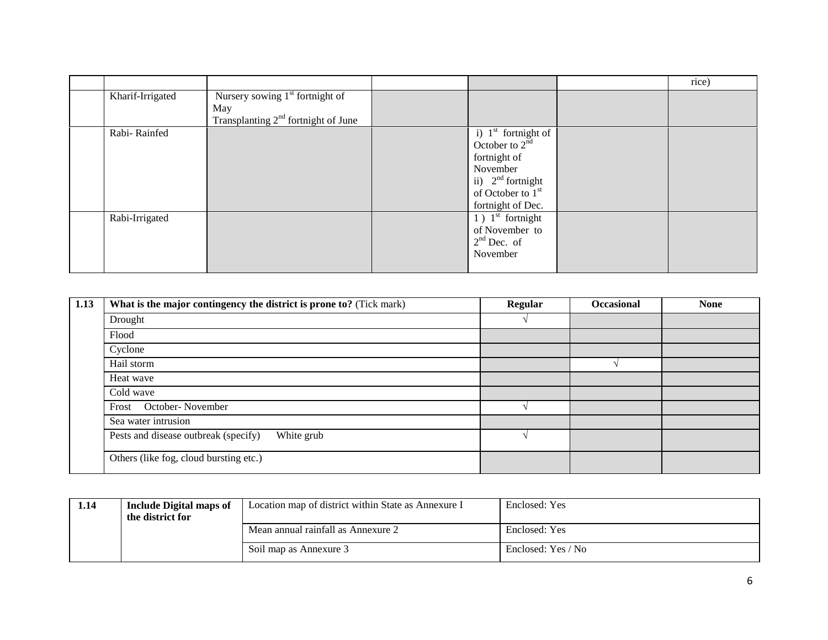|                  |                                                                                   |                                                                                                                                                                        | rice) |
|------------------|-----------------------------------------------------------------------------------|------------------------------------------------------------------------------------------------------------------------------------------------------------------------|-------|
| Kharif-Irrigated | Nursery sowing $1st$ fortnight of<br>May<br>Transplanting $2nd$ fortnight of June |                                                                                                                                                                        |       |
| Rabi-Rainfed     |                                                                                   | i) $1^{\text{st}}$ fortnight of<br>October to $2^{\text{nd}}$<br>fortnight of<br>November<br>ii) $2nd$ fortnight<br>of October to 1 <sup>st</sup><br>fortnight of Dec. |       |
| Rabi-Irrigated   |                                                                                   | $\overline{1}$ ) $1^{\text{st}}$ fortnight<br>of November to<br>$2nd$ Dec. of<br>November                                                                              |       |

| 1.13 | What is the major contingency the district is prone to? (Tick mark) | <b>Regular</b> | <b>Occasional</b> | <b>None</b> |
|------|---------------------------------------------------------------------|----------------|-------------------|-------------|
|      | Drought                                                             |                |                   |             |
|      | Flood                                                               |                |                   |             |
|      | Cyclone                                                             |                |                   |             |
|      | Hail storm                                                          |                |                   |             |
|      | Heat wave                                                           |                |                   |             |
|      | Cold wave                                                           |                |                   |             |
|      | October-November<br>Frost                                           |                |                   |             |
|      | Sea water intrusion                                                 |                |                   |             |
|      | Pests and disease outbreak (specify)<br>White grub                  |                |                   |             |
|      | Others (like fog, cloud bursting etc.)                              |                |                   |             |

| 1.14 | <b>Include Digital maps of</b><br>the district for | Location map of district within State as Annexure I | Enclosed: Yes      |
|------|----------------------------------------------------|-----------------------------------------------------|--------------------|
|      |                                                    | Mean annual rainfall as Annexure 2                  | Enclosed: Yes      |
|      |                                                    | Soil map as Annexure 3                              | Enclosed: Yes / No |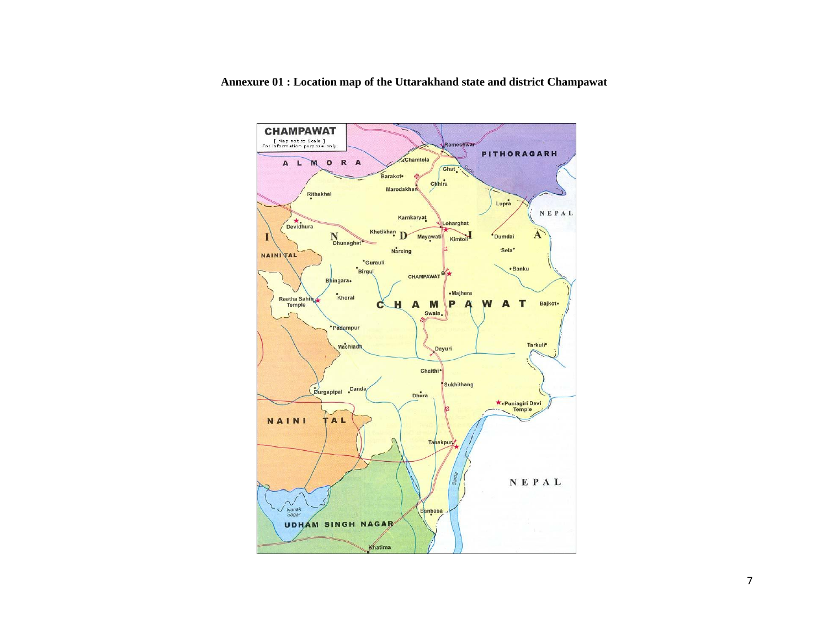

**Annexure 01 : Location map of the Uttarakhand state and district Champawat**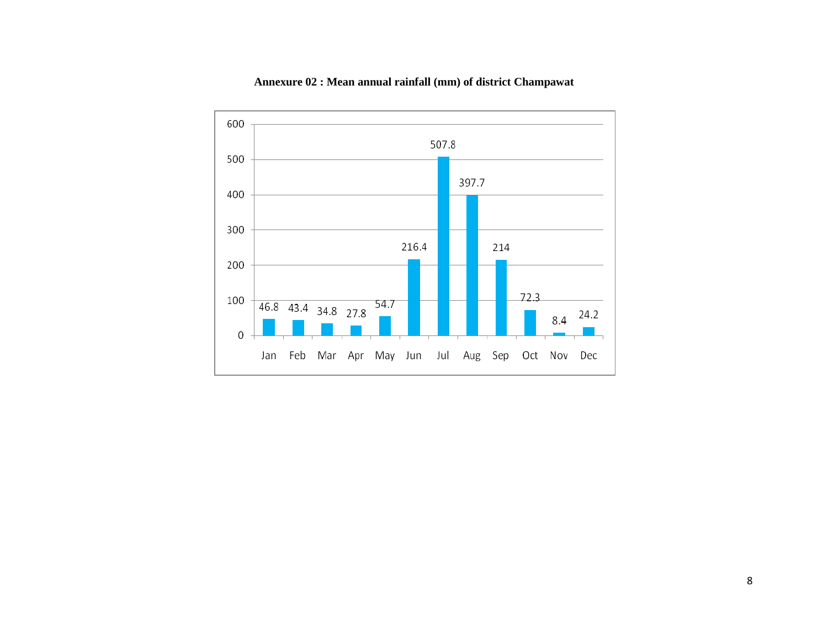

## **Annexure 02 : Mean annual rainfall (mm) of district Champawat**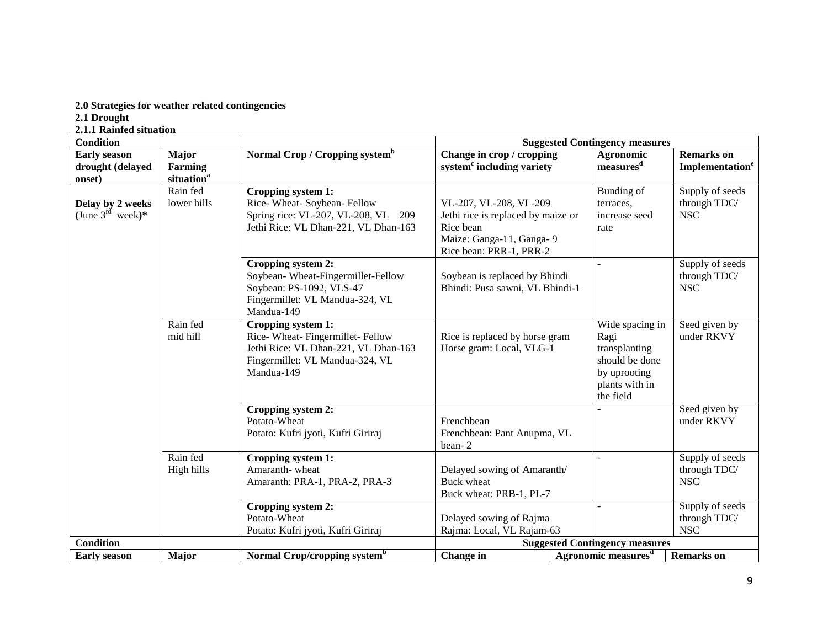## **2.0 Strategies for weather related contingencies**

**2.1 Drought**

**2.1.1 Rainfed situation**

| <b>Condition</b>                                  |                                                   |                                                                                                                                               | <b>Suggested Contingency measures</b>                                                                                            |                                                                                                           |                                                  |
|---------------------------------------------------|---------------------------------------------------|-----------------------------------------------------------------------------------------------------------------------------------------------|----------------------------------------------------------------------------------------------------------------------------------|-----------------------------------------------------------------------------------------------------------|--------------------------------------------------|
| <b>Early season</b><br>drought (delayed<br>onset) | <b>Major</b><br>Farming<br>situation <sup>a</sup> | Normal Crop / Cropping system <sup>b</sup>                                                                                                    | Change in crop / cropping<br>system <sup>c</sup> including variety                                                               | Agronomic<br>measures <sup>d</sup>                                                                        | <b>Remarks</b> on<br>Implementation <sup>e</sup> |
| Delay by 2 weeks<br>(June $3^{\text{rd}}$ week)*  | Rain fed<br>lower hills                           | Cropping system 1:<br>Rice-Wheat-Soybean-Fellow<br>Spring rice: VL-207, VL-208, VL-209<br>Jethi Rice: VL Dhan-221, VL Dhan-163                | VL-207, VL-208, VL-209<br>Jethi rice is replaced by maize or<br>Rice bean<br>Maize: Ganga-11, Ganga-9<br>Rice bean: PRR-1, PRR-2 | Bunding of<br>terraces,<br>increase seed<br>rate                                                          | Supply of seeds<br>through TDC/<br><b>NSC</b>    |
|                                                   |                                                   | Cropping system 2:<br>Soybean-Wheat-Fingermillet-Fellow<br>Soybean: PS-1092, VLS-47<br>Fingermillet: VL Mandua-324, VL<br>Mandua-149          | Soybean is replaced by Bhindi<br>Bhindi: Pusa sawni, VL Bhindi-1                                                                 | $\overline{a}$                                                                                            | Supply of seeds<br>through TDC/<br><b>NSC</b>    |
|                                                   | Rain fed<br>mid hill                              | Cropping system 1:<br>Rice-Wheat-Fingermillet-Fellow<br>Jethi Rice: VL Dhan-221, VL Dhan-163<br>Fingermillet: VL Mandua-324, VL<br>Mandua-149 | Rice is replaced by horse gram<br>Horse gram: Local, VLG-1                                                                       | Wide spacing in<br>Ragi<br>transplanting<br>should be done<br>by uprooting<br>plants with in<br>the field | Seed given by<br>under RKVY                      |
|                                                   |                                                   | Cropping system 2:<br>Potato-Wheat<br>Potato: Kufri jyoti, Kufri Giriraj                                                                      | Frenchbean<br>Frenchbean: Pant Anupma, VL<br>bean-2                                                                              |                                                                                                           | Seed given by<br>under RKVY                      |
|                                                   | Rain fed<br>High hills                            | Cropping system 1:<br>Amaranth-wheat<br>Amaranth: PRA-1, PRA-2, PRA-3                                                                         | Delayed sowing of Amaranth/<br><b>Buck wheat</b><br>Buck wheat: PRB-1, PL-7                                                      | $\overline{a}$                                                                                            | Supply of seeds<br>through TDC/<br><b>NSC</b>    |
|                                                   |                                                   | Cropping system 2:<br>Potato-Wheat<br>Potato: Kufri jyoti, Kufri Giriraj                                                                      | Delayed sowing of Rajma<br>Rajma: Local, VL Rajam-63                                                                             | $\overline{a}$                                                                                            | Supply of seeds<br>through TDC/<br><b>NSC</b>    |
| <b>Condition</b>                                  |                                                   |                                                                                                                                               |                                                                                                                                  | <b>Suggested Contingency measures</b>                                                                     |                                                  |
| <b>Early season</b>                               | Major                                             | Normal Crop/cropping system <sup>b</sup>                                                                                                      | Change in                                                                                                                        | Agronomic measures <sup>d</sup>                                                                           | <b>Remarks</b> on                                |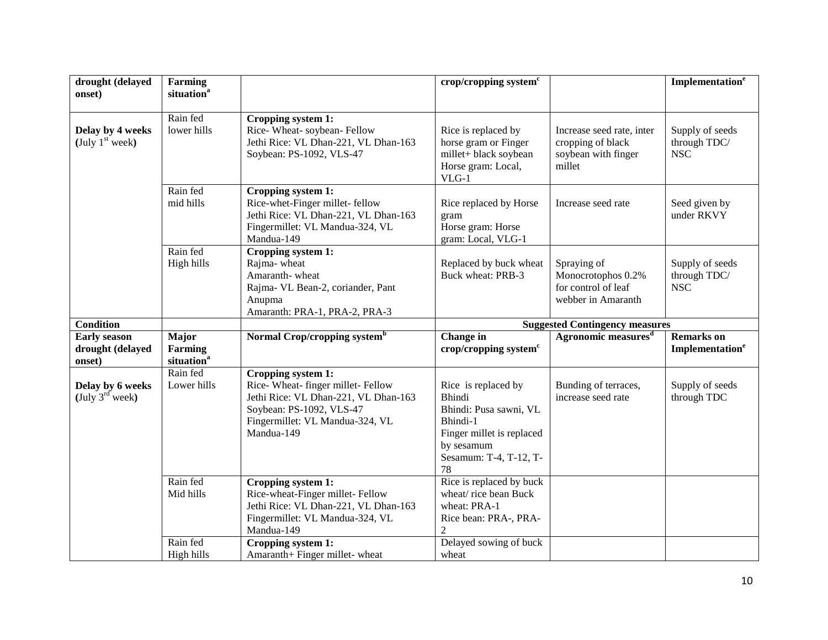| drought (delayed<br>onset)                        | Farming<br>situation <sup>a</sup>          |                                                                                                                                                                             | crop/cropping system $c$                                                                                                                              |                                                                                 | Implementation <sup>e</sup>                      |
|---------------------------------------------------|--------------------------------------------|-----------------------------------------------------------------------------------------------------------------------------------------------------------------------------|-------------------------------------------------------------------------------------------------------------------------------------------------------|---------------------------------------------------------------------------------|--------------------------------------------------|
| Delay by 4 weeks<br>(July $1st$ week)             | Rain fed<br>lower hills                    | Cropping system 1:<br>Rice-Wheat-soybean-Fellow<br>Jethi Rice: VL Dhan-221, VL Dhan-163<br>Soybean: PS-1092, VLS-47                                                         | Rice is replaced by<br>horse gram or Finger<br>millet+ black soybean<br>Horse gram: Local,<br>$VLG-1$                                                 | Increase seed rate, inter<br>cropping of black<br>soybean with finger<br>millet | Supply of seeds<br>through TDC/<br>$_{\rm NSC}$  |
|                                                   | Rain fed<br>mid hills                      | Cropping system 1:<br>Rice-whet-Finger millet-fellow<br>Jethi Rice: VL Dhan-221, VL Dhan-163<br>Fingermillet: VL Mandua-324, VL<br>Mandua-149                               | Rice replaced by Horse<br>gram<br>Horse gram: Horse<br>gram: Local, VLG-1                                                                             | Increase seed rate                                                              | Seed given by<br>under RKVY                      |
|                                                   | Rain fed<br>High hills                     | Cropping system 1:<br>Rajma-wheat<br>Amaranth-wheat<br>Rajma- VL Bean-2, coriander, Pant<br>Anupma<br>Amaranth: PRA-1, PRA-2, PRA-3                                         | Replaced by buck wheat<br>Buck wheat: PRB-3                                                                                                           | Spraying of<br>Monocrotophos 0.2%<br>for control of leaf<br>webber in Amaranth  | Supply of seeds<br>through TDC/<br><b>NSC</b>    |
| <b>Condition</b>                                  |                                            |                                                                                                                                                                             |                                                                                                                                                       | <b>Suggested Contingency measures</b>                                           |                                                  |
|                                                   |                                            |                                                                                                                                                                             |                                                                                                                                                       |                                                                                 |                                                  |
| <b>Early season</b><br>drought (delayed<br>onset) | Major<br>Farming<br>situation <sup>a</sup> | Normal Crop/cropping system <sup>b</sup>                                                                                                                                    | Change in<br>crop/cropping system <sup>c</sup>                                                                                                        | Agronomic measures <sup>d</sup>                                                 | <b>Remarks</b> on<br>Implementation <sup>e</sup> |
| Delay by 6 weeks<br>(July 3 <sup>rd</sup> week)   | Rain fed<br>Lower hills                    | Cropping system 1:<br>Rice-Wheat- finger millet-Fellow<br>Jethi Rice: VL Dhan-221, VL Dhan-163<br>Soybean: PS-1092, VLS-47<br>Fingermillet: VL Mandua-324, VL<br>Mandua-149 | Rice is replaced by<br><b>Bhindi</b><br>Bhindi: Pusa sawni, VL<br>Bhindi-1<br>Finger millet is replaced<br>by sesamum<br>Sesamum: T-4, T-12, T-<br>78 | Bunding of terraces,<br>increase seed rate                                      | Supply of seeds<br>through TDC                   |
|                                                   | Rain fed<br>Mid hills                      | Cropping system 1:<br>Rice-wheat-Finger millet-Fellow<br>Jethi Rice: VL Dhan-221, VL Dhan-163<br>Fingermillet: VL Mandua-324, VL<br>Mandua-149                              | Rice is replaced by buck<br>wheat/rice bean Buck<br>wheat: PRA-1<br>Rice bean: PRA-, PRA-<br>$\overline{2}$                                           |                                                                                 |                                                  |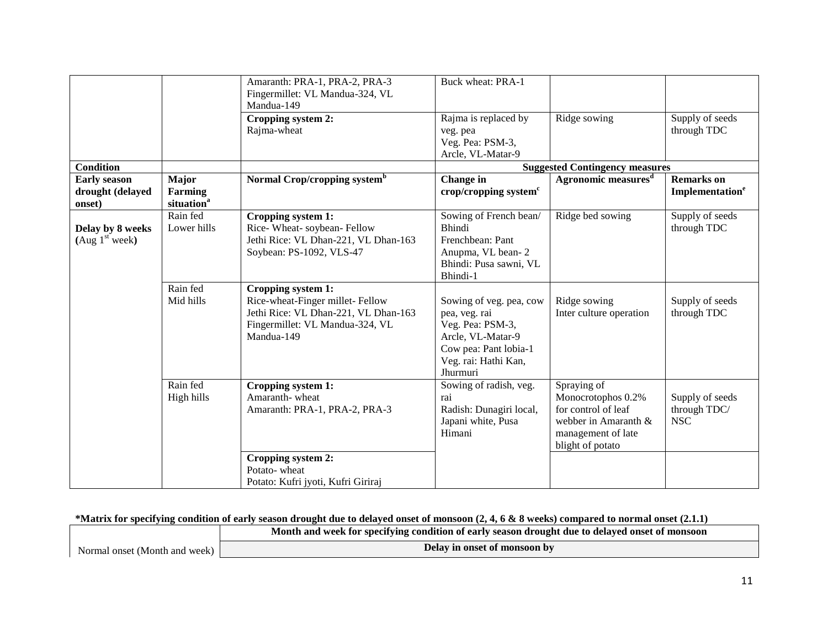|                                                   |                                                          | Amaranth: PRA-1, PRA-2, PRA-3<br>Fingermillet: VL Mandua-324, VL<br>Mandua-149<br>Cropping system 2:<br>Rajma-wheat                            | Buck wheat: PRA-1<br>Rajma is replaced by<br>veg. pea<br>Veg. Pea: PSM-3,                                                                      | Ridge sowing                                                                                                               | Supply of seeds<br>through TDC                   |
|---------------------------------------------------|----------------------------------------------------------|------------------------------------------------------------------------------------------------------------------------------------------------|------------------------------------------------------------------------------------------------------------------------------------------------|----------------------------------------------------------------------------------------------------------------------------|--------------------------------------------------|
| <b>Condition</b>                                  |                                                          |                                                                                                                                                | Arcle, VL-Matar-9                                                                                                                              | <b>Suggested Contingency measures</b>                                                                                      |                                                  |
| <b>Early season</b><br>drought (delayed<br>onset) | <b>Major</b><br><b>Farming</b><br>situation <sup>a</sup> | Normal Crop/cropping system <sup>b</sup>                                                                                                       | Change in<br>crop/cropping system $c$                                                                                                          | Agronomic measures <sup>d</sup>                                                                                            | <b>Remarks</b> on<br>Implementation <sup>e</sup> |
| Delay by 8 weeks<br>(Aug 1 <sup>st</sup> week)    | Rain fed<br>Lower hills                                  | Cropping system 1:<br>Rice-Wheat-soybean-Fellow<br>Jethi Rice: VL Dhan-221, VL Dhan-163<br>Soybean: PS-1092, VLS-47                            | Sowing of French bean/<br><b>Bhindi</b><br>Frenchbean: Pant<br>Anupma, VL bean-2<br>Bhindi: Pusa sawni, VL<br>Bhindi-1                         | Ridge bed sowing                                                                                                           | Supply of seeds<br>through TDC                   |
|                                                   | Rain fed<br>Mid hills                                    | Cropping system 1:<br>Rice-wheat-Finger millet-Fellow<br>Jethi Rice: VL Dhan-221, VL Dhan-163<br>Fingermillet: VL Mandua-324, VL<br>Mandua-149 | Sowing of veg. pea, cow<br>pea, veg. rai<br>Veg. Pea: PSM-3,<br>Arcle, VL-Matar-9<br>Cow pea: Pant lobia-1<br>Veg. rai: Hathi Kan,<br>Jhurmuri | Ridge sowing<br>Inter culture operation                                                                                    | Supply of seeds<br>through TDC                   |
|                                                   | Rain fed<br>High hills                                   | Cropping system 1:<br>Amaranth-wheat<br>Amaranth: PRA-1, PRA-2, PRA-3                                                                          | Sowing of radish, veg.<br>rai<br>Radish: Dunagiri local,<br>Japani white, Pusa<br>Himani                                                       | Spraying of<br>Monocrotophos 0.2%<br>for control of leaf<br>webber in Amaranth &<br>management of late<br>blight of potato | Supply of seeds<br>through TDC/<br><b>NSC</b>    |
|                                                   |                                                          | Cropping system 2:<br>Potato-wheat<br>Potato: Kufri jyoti, Kufri Giriraj                                                                       |                                                                                                                                                |                                                                                                                            |                                                  |

#### **\*Matrix for specifying condition of early season drought due to delayed onset of monsoon (2, 4, 6 & 8 weeks) compared to normal onset (2.1.1)**

**Month and week for specifying condition of early season drought due to delayed onset of monsoon**

Normal onset (Month and week)

**Delay in onset of monsoon by**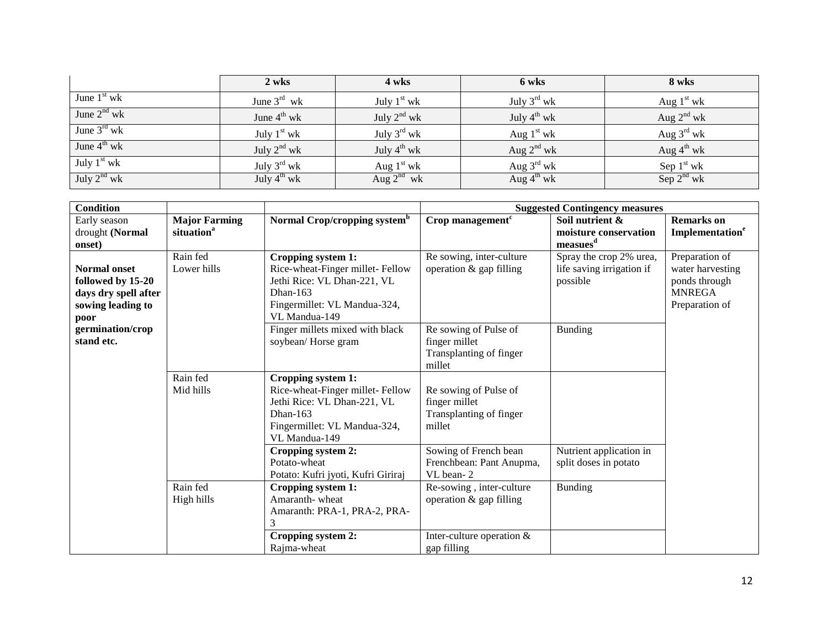|                         | 2 wks                   | 4 wks                   | 6 wks                   | 8 wks                  |
|-------------------------|-------------------------|-------------------------|-------------------------|------------------------|
| June $1st$ wk           | June $3^{\text{rd}}$ wk | July $1st$ wk           | July $3^{\text{rd}}$ wk | Aug $1st$ wk           |
| June $2nd$ wk           | June $4^{\text{th}}$ wk | July $2^{nd}$ wk        | July $4^{\text{th}}$ wk | Aug $2^{nd}$ wk        |
| June $3^{\text{rd}}$ wk | July $1st$ wk           | July $3^{\text{rd}}$ wk | Aug $1st$ wk            | Aug $3^{\text{rd}}$ wk |
| June $4^{th}$ wk        | July $2^{nd}$ wk        | July $4^{th}$ wk        | Aug $2^{nd}$ wk         | Aug $4^{\text{th}}$ wk |
| July $1st$ wk           | July $3^{\text{rd}}$ wk | Aug $1st$ wk            | Aug $3^{\text{rd}}$ wk  | Sep $1st$ wk           |
| July $2^{nd}$ wk        | July $4^{th}$ wk        | Aug $2^{nd}$ wk         | Aug $4^{\text{th}}$ wk  | Sep 2 <sup>nd</sup> wk |

| <b>Condition</b>                                                                              |                                                |                                                                                                                                                      |                                                                                            | <b>Suggested Contingency measures</b>                              |                                                                                        |
|-----------------------------------------------------------------------------------------------|------------------------------------------------|------------------------------------------------------------------------------------------------------------------------------------------------------|--------------------------------------------------------------------------------------------|--------------------------------------------------------------------|----------------------------------------------------------------------------------------|
| Early season<br>drought (Normal<br>onset)                                                     | <b>Major Farming</b><br>situation <sup>a</sup> | Normal Crop/cropping system <sup>b</sup>                                                                                                             | Crop management <sup>c</sup>                                                               | Soil nutrient &<br>moisture conservation<br>measues <sup>d</sup>   | <b>Remarks</b> on<br>Implementation <sup>e</sup>                                       |
| <b>Normal onset</b><br>followed by 15-20<br>days dry spell after<br>sowing leading to<br>poor | Rain fed<br>Lower hills                        | Cropping system 1:<br>Rice-wheat-Finger millet-Fellow<br>Jethi Rice: VL Dhan-221, VL<br>Dhan-163<br>Fingermillet: VL Mandua-324,<br>VL Mandua-149    | Re sowing, inter-culture<br>operation $&$ gap filling                                      | Spray the crop 2% urea,<br>life saving irrigation if<br>possible   | Preparation of<br>water harvesting<br>ponds through<br><b>MNREGA</b><br>Preparation of |
| germination/crop<br>stand etc.                                                                |                                                | Finger millets mixed with black<br>soybean/Horse gram                                                                                                | Re sowing of Pulse of<br>finger millet<br>Transplanting of finger<br>millet                | Bunding                                                            |                                                                                        |
|                                                                                               | Rain fed<br>Mid hills                          | Cropping system 1:<br>Rice-wheat-Finger millet-Fellow<br>Jethi Rice: VL Dhan-221, VL<br>Dhan- $163$<br>Fingermillet: VL Mandua-324,<br>VL Mandua-149 | Re sowing of Pulse of<br>finger millet<br>Transplanting of finger<br>millet                |                                                                    |                                                                                        |
|                                                                                               | Rain fed                                       | Cropping system 2:<br>Potato-wheat<br>Potato: Kufri jyoti, Kufri Giriraj<br>Cropping system 1:<br>Amaranth-wheat                                     | Sowing of French bean<br>Frenchbean: Pant Anupma,<br>VL bean-2<br>Re-sowing, inter-culture | Nutrient application in<br>split doses in potato<br><b>Bunding</b> |                                                                                        |
|                                                                                               | High hills                                     | Amaranth: PRA-1, PRA-2, PRA-<br>3<br>Cropping system 2:<br>Rajma-wheat                                                                               | operation $&$ gap filling<br>Inter-culture operation $&$<br>gap filling                    |                                                                    |                                                                                        |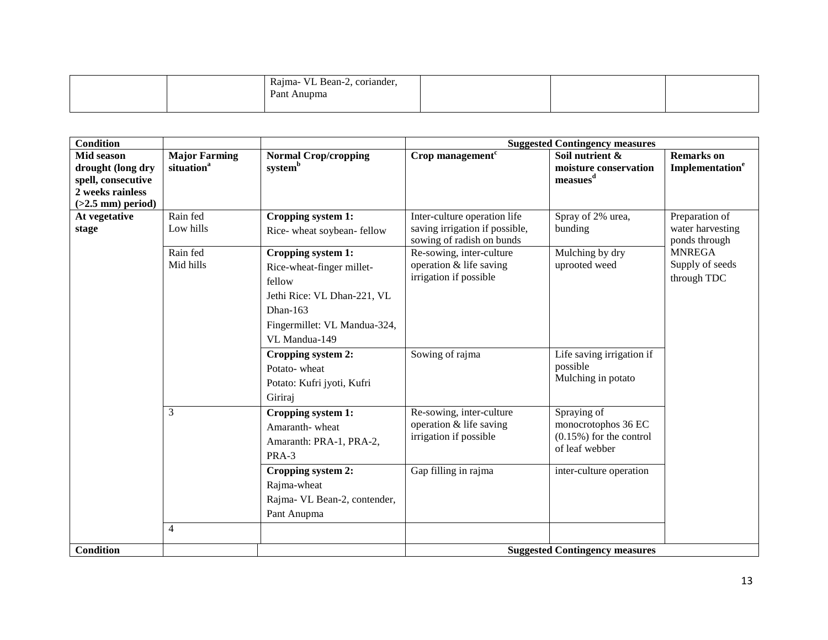| $\sim$<br>Rajma-<br><b>YY</b><br>, coriander.<br>VL Bean-2,<br>Pant<br>Anupma |  |  |
|-------------------------------------------------------------------------------|--|--|
|                                                                               |  |  |

| <b>Condition</b>                                                                                 |                                                |                                                                                                                                                                                         |                                                                                                                                                                              | <b>Suggested Contingency measures</b>                                              |                                                                                                        |
|--------------------------------------------------------------------------------------------------|------------------------------------------------|-----------------------------------------------------------------------------------------------------------------------------------------------------------------------------------------|------------------------------------------------------------------------------------------------------------------------------------------------------------------------------|------------------------------------------------------------------------------------|--------------------------------------------------------------------------------------------------------|
| Mid season<br>drought (long dry<br>spell, consecutive<br>2 weeks rainless<br>$(>2.5$ mm) period) | <b>Major Farming</b><br>situation <sup>a</sup> | <b>Normal Crop/cropping</b><br>systemb                                                                                                                                                  | Crop management $\overline{c}$                                                                                                                                               | Soil nutrient &<br>moisture conservation<br>measures <sup>d</sup>                  | <b>Remarks</b> on<br>Implementation <sup>e</sup>                                                       |
| At vegetative<br>stage                                                                           | Rain fed<br>Low hills<br>Rain fed<br>Mid hills | Cropping system 1:<br>Rice-wheat soybean-fellow<br>Cropping system 1:<br>Rice-wheat-finger millet-<br>fellow<br>Jethi Rice: VL Dhan-221, VL<br>Dhan-163<br>Fingermillet: VL Mandua-324, | Inter-culture operation life<br>saving irrigation if possible,<br>sowing of radish on bunds<br>Re-sowing, inter-culture<br>operation & life saving<br>irrigation if possible | Spray of 2% urea,<br>bunding<br>Mulching by dry<br>uprooted weed                   | Preparation of<br>water harvesting<br>ponds through<br><b>MNREGA</b><br>Supply of seeds<br>through TDC |
|                                                                                                  |                                                | VL Mandua-149<br>Cropping system 2:<br>Potato-wheat<br>Potato: Kufri jyoti, Kufri<br>Giriraj                                                                                            | Sowing of rajma                                                                                                                                                              | Life saving irrigation if<br>possible<br>Mulching in potato                        |                                                                                                        |
|                                                                                                  | 3                                              | Cropping system 1:<br>Amaranth-wheat<br>Amaranth: PRA-1, PRA-2,<br>PRA-3                                                                                                                | Re-sowing, inter-culture<br>operation & life saving<br>irrigation if possible                                                                                                | Spraying of<br>monocrotophos 36 EC<br>$(0.15\%)$ for the control<br>of leaf webber |                                                                                                        |
|                                                                                                  |                                                | Cropping system 2:<br>Rajma-wheat<br>Rajma- VL Bean-2, contender,<br>Pant Anupma                                                                                                        | Gap filling in rajma                                                                                                                                                         | inter-culture operation                                                            |                                                                                                        |
|                                                                                                  | $\overline{4}$                                 |                                                                                                                                                                                         |                                                                                                                                                                              |                                                                                    |                                                                                                        |
| <b>Condition</b>                                                                                 |                                                |                                                                                                                                                                                         |                                                                                                                                                                              | <b>Suggested Contingency measures</b>                                              |                                                                                                        |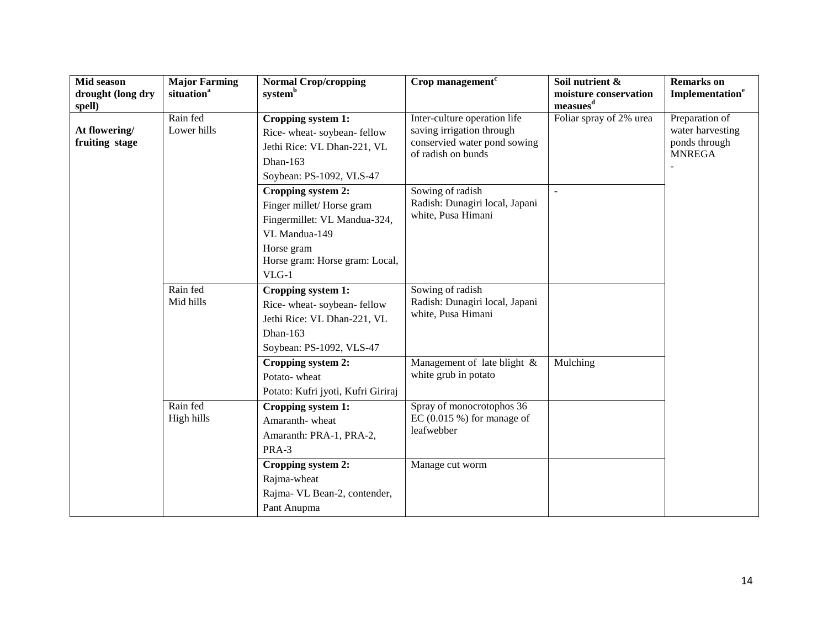| Mid season<br>drought (long dry<br>spell) | <b>Major Farming</b><br>situation <sup>a</sup> | <b>Normal Crop/cropping</b><br>system <sup>b</sup>                                                                                                         | $Crop$ management <sup><math>c</math></sup>                                                                     | Soil nutrient &<br>moisture conservation<br>measues <sup>d</sup> | <b>Remarks</b> on<br>Implementation <sup>e</sup>                     |
|-------------------------------------------|------------------------------------------------|------------------------------------------------------------------------------------------------------------------------------------------------------------|-----------------------------------------------------------------------------------------------------------------|------------------------------------------------------------------|----------------------------------------------------------------------|
| At flowering/<br>fruiting stage           | Rain fed<br>Lower hills                        | Cropping system 1:<br>Rice-wheat-soybean-fellow<br>Jethi Rice: VL Dhan-221, VL<br>Dhan-163<br>Soybean: PS-1092, VLS-47                                     | Inter-culture operation life<br>saving irrigation through<br>conservied water pond sowing<br>of radish on bunds | Foliar spray of 2% urea                                          | Preparation of<br>water harvesting<br>ponds through<br><b>MNREGA</b> |
|                                           |                                                | Cropping system 2:<br>Finger millet/Horse gram<br>Fingermillet: VL Mandua-324,<br>VL Mandua-149<br>Horse gram<br>Horse gram: Horse gram: Local,<br>$VLG-1$ | Sowing of radish<br>Radish: Dunagiri local, Japani<br>white, Pusa Himani                                        |                                                                  |                                                                      |
|                                           | Rain fed<br>Mid hills                          | Cropping system 1:<br>Rice-wheat-soybean-fellow<br>Jethi Rice: VL Dhan-221, VL<br>Dhan-163<br>Soybean: PS-1092, VLS-47                                     | Sowing of radish<br>Radish: Dunagiri local, Japani<br>white, Pusa Himani                                        |                                                                  |                                                                      |
|                                           |                                                | Cropping system 2:<br>Potato-wheat<br>Potato: Kufri jyoti, Kufri Giriraj                                                                                   | Management of late blight &<br>white grub in potato                                                             | Mulching                                                         |                                                                      |
|                                           | Rain fed<br>High hills                         | Cropping system 1:<br>Amaranth-wheat<br>Amaranth: PRA-1, PRA-2,<br>PRA-3                                                                                   | Spray of monocrotophos 36<br>EC $(0.015 \%)$ for manage of<br>leafwebber                                        |                                                                  |                                                                      |
|                                           |                                                | Cropping system 2:<br>Rajma-wheat<br>Rajma- VL Bean-2, contender,<br>Pant Anupma                                                                           | Manage cut worm                                                                                                 |                                                                  |                                                                      |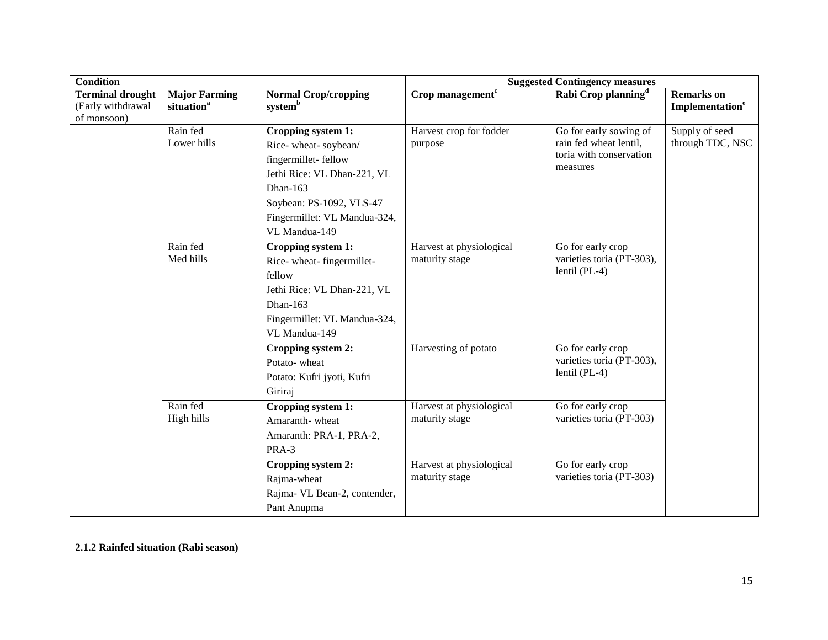| <b>Condition</b>                                            |                                                |                                                                                                                                                                                          |                                            | <b>Suggested Contingency measures</b>                                                   |                                                  |
|-------------------------------------------------------------|------------------------------------------------|------------------------------------------------------------------------------------------------------------------------------------------------------------------------------------------|--------------------------------------------|-----------------------------------------------------------------------------------------|--------------------------------------------------|
| <b>Terminal drought</b><br>(Early withdrawal<br>of monsoon) | <b>Major Farming</b><br>situation <sup>a</sup> | <b>Normal Crop/cropping</b><br>system <sup>b</sup>                                                                                                                                       | Crop management $c$                        | Rabi Crop planning <sup>d</sup>                                                         | <b>Remarks</b> on<br>Implementation <sup>e</sup> |
|                                                             | Rain fed<br>Lower hills                        | Cropping system 1:<br>Rice-wheat-soybean/<br>fingermillet-fellow<br>Jethi Rice: VL Dhan-221, VL<br>Dhan-163<br>Soybean: PS-1092, VLS-47<br>Fingermillet: VL Mandua-324,<br>VL Mandua-149 | Harvest crop for fodder<br>purpose         | Go for early sowing of<br>rain fed wheat lentil,<br>toria with conservation<br>measures | Supply of seed<br>through TDC, NSC               |
|                                                             | Rain fed<br>Med hills                          | Cropping system 1:<br>Rice-wheat-fingermillet-<br>fellow<br>Jethi Rice: VL Dhan-221, VL<br>Dhan-163<br>Fingermillet: VL Mandua-324,<br>VL Mandua-149                                     | Harvest at physiological<br>maturity stage | Go for early crop<br>varieties toria (PT-303),<br>lentil $(PL-4)$                       |                                                  |
|                                                             |                                                | Cropping system 2:<br>Potato-wheat<br>Potato: Kufri jyoti, Kufri<br>Giriraj                                                                                                              | Harvesting of potato                       | Go for early crop<br>varieties toria (PT-303),<br>lentil $(PL-4)$                       |                                                  |
|                                                             | Rain fed<br>High hills                         | Cropping system 1:<br>Amaranth-wheat<br>Amaranth: PRA-1, PRA-2,<br>PRA-3                                                                                                                 | Harvest at physiological<br>maturity stage | Go for early crop<br>varieties toria (PT-303)                                           |                                                  |
|                                                             |                                                | Cropping system 2:<br>Rajma-wheat<br>Rajma- VL Bean-2, contender,<br>Pant Anupma                                                                                                         | Harvest at physiological<br>maturity stage | Go for early crop<br>varieties toria (PT-303)                                           |                                                  |

**2.1.2 Rainfed situation (Rabi season)**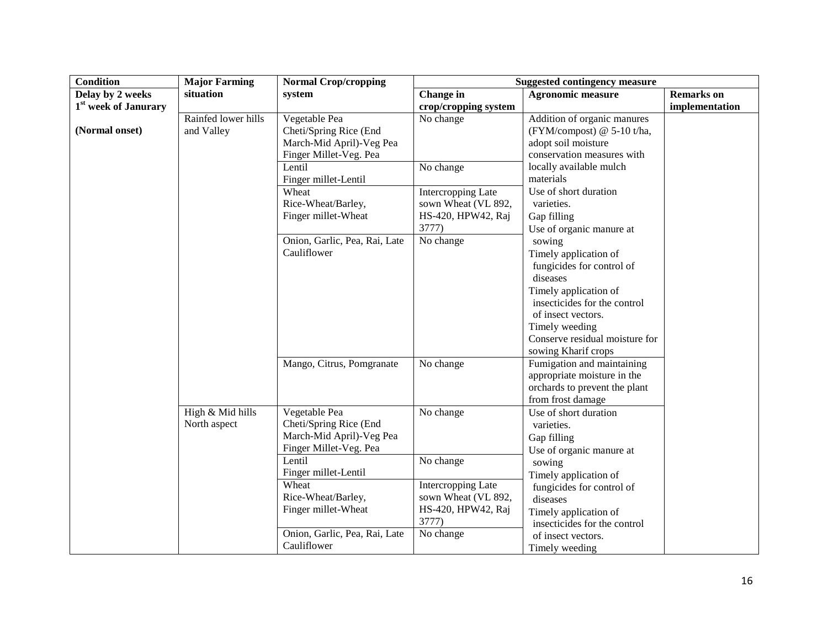| <b>Condition</b>                 | <b>Major Farming</b>              | <b>Normal Crop/cropping</b>                                                                   |                                                                                 | <b>Suggested contingency measure</b>                                                                                                                                                                                                                             |                   |
|----------------------------------|-----------------------------------|-----------------------------------------------------------------------------------------------|---------------------------------------------------------------------------------|------------------------------------------------------------------------------------------------------------------------------------------------------------------------------------------------------------------------------------------------------------------|-------------------|
| Delay by 2 weeks                 | situation                         | system                                                                                        | Change in                                                                       | <b>Agronomic measure</b>                                                                                                                                                                                                                                         | <b>Remarks</b> on |
| 1 <sup>st</sup> week of Janurary |                                   |                                                                                               | crop/cropping system                                                            |                                                                                                                                                                                                                                                                  | implementation    |
| (Normal onset)                   | Rainfed lower hills<br>and Valley | Vegetable Pea<br>Cheti/Spring Rice (End<br>March-Mid April)-Veg Pea<br>Finger Millet-Veg. Pea | No change                                                                       | Addition of organic manures<br>(FYM/compost) @ 5-10 t/ha,<br>adopt soil moisture<br>conservation measures with                                                                                                                                                   |                   |
|                                  |                                   | Lentil                                                                                        | No change                                                                       | locally available mulch                                                                                                                                                                                                                                          |                   |
|                                  |                                   | Finger millet-Lentil                                                                          |                                                                                 | materials                                                                                                                                                                                                                                                        |                   |
|                                  |                                   | Wheat<br>Rice-Wheat/Barley,<br>Finger millet-Wheat                                            | <b>Intercropping Late</b><br>sown Wheat (VL 892,<br>HS-420, HPW42, Raj<br>3777) | Use of short duration<br>varieties.<br>Gap filling<br>Use of organic manure at                                                                                                                                                                                   |                   |
|                                  |                                   | Onion, Garlic, Pea, Rai, Late<br>Cauliflower<br>Mango, Citrus, Pomgranate                     | No change<br>No change                                                          | sowing<br>Timely application of<br>fungicides for control of<br>diseases<br>Timely application of<br>insecticides for the control<br>of insect vectors.<br>Timely weeding<br>Conserve residual moisture for<br>sowing Kharif crops<br>Fumigation and maintaining |                   |
|                                  |                                   |                                                                                               |                                                                                 | appropriate moisture in the<br>orchards to prevent the plant<br>from frost damage                                                                                                                                                                                |                   |
|                                  | High & Mid hills<br>North aspect  | Vegetable Pea<br>Cheti/Spring Rice (End<br>March-Mid April)-Veg Pea<br>Finger Millet-Veg. Pea | No change                                                                       | Use of short duration<br>varieties.<br>Gap filling<br>Use of organic manure at                                                                                                                                                                                   |                   |
|                                  |                                   | Lentil<br>Finger millet-Lentil                                                                | No change                                                                       | sowing<br>Timely application of                                                                                                                                                                                                                                  |                   |
|                                  |                                   | Wheat<br>Rice-Wheat/Barley,<br>Finger millet-Wheat                                            | <b>Intercropping Late</b><br>sown Wheat (VL 892,<br>HS-420, HPW42, Raj<br>3777) | fungicides for control of<br>diseases<br>Timely application of<br>insecticides for the control                                                                                                                                                                   |                   |
|                                  |                                   | Onion, Garlic, Pea, Rai, Late<br>Cauliflower                                                  | No change                                                                       | of insect vectors.<br>Timely weeding                                                                                                                                                                                                                             |                   |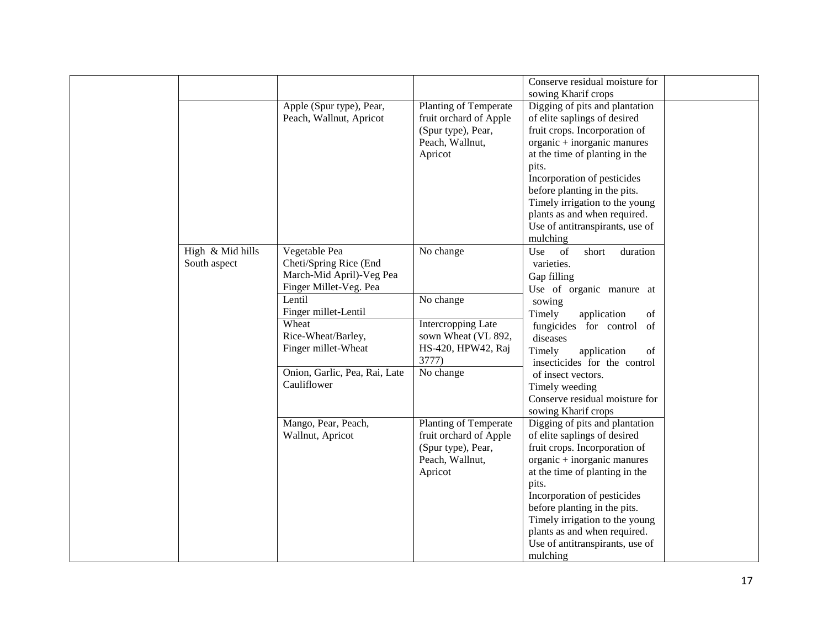|                  |                                                     |                                                 | Conserve residual moisture for                                 |  |
|------------------|-----------------------------------------------------|-------------------------------------------------|----------------------------------------------------------------|--|
|                  |                                                     |                                                 | sowing Kharif crops                                            |  |
|                  | Apple (Spur type), Pear,<br>Peach, Wallnut, Apricot | Planting of Temperate<br>fruit orchard of Apple | Digging of pits and plantation<br>of elite saplings of desired |  |
|                  |                                                     | (Spur type), Pear,                              | fruit crops. Incorporation of                                  |  |
|                  |                                                     | Peach, Wallnut,                                 | organic + inorganic manures                                    |  |
|                  |                                                     | Apricot                                         | at the time of planting in the                                 |  |
|                  |                                                     |                                                 | pits.                                                          |  |
|                  |                                                     |                                                 | Incorporation of pesticides                                    |  |
|                  |                                                     |                                                 | before planting in the pits.                                   |  |
|                  |                                                     |                                                 | Timely irrigation to the young                                 |  |
|                  |                                                     |                                                 | plants as and when required.                                   |  |
|                  |                                                     |                                                 | Use of antitranspirants, use of                                |  |
|                  |                                                     |                                                 | mulching                                                       |  |
| High & Mid hills | Vegetable Pea                                       | No change                                       | Use<br>of<br>short<br>duration                                 |  |
| South aspect     | Cheti/Spring Rice (End                              |                                                 | varieties.                                                     |  |
|                  | March-Mid April)-Veg Pea                            |                                                 | Gap filling                                                    |  |
|                  | Finger Millet-Veg. Pea                              |                                                 | Use of organic manure at                                       |  |
|                  | Lentil                                              | No change                                       | sowing                                                         |  |
|                  | Finger millet-Lentil                                |                                                 | Timely<br>application<br>of                                    |  |
|                  | Wheat                                               | Intercropping Late                              | fungicides for control<br>of                                   |  |
|                  | Rice-Wheat/Barley,                                  | sown Wheat (VL 892,<br>HS-420, HPW42, Raj       | diseases                                                       |  |
|                  | Finger millet-Wheat                                 | 3777)                                           | Timely<br>application<br>of                                    |  |
|                  | Onion, Garlic, Pea, Rai, Late                       | No change                                       | insecticides for the control                                   |  |
|                  | Cauliflower                                         |                                                 | of insect vectors.                                             |  |
|                  |                                                     |                                                 | Timely weeding<br>Conserve residual moisture for               |  |
|                  |                                                     |                                                 | sowing Kharif crops                                            |  |
|                  | Mango, Pear, Peach,                                 | Planting of Temperate                           | Digging of pits and plantation                                 |  |
|                  | Wallnut, Apricot                                    | fruit orchard of Apple                          | of elite saplings of desired                                   |  |
|                  |                                                     | (Spur type), Pear,                              | fruit crops. Incorporation of                                  |  |
|                  |                                                     | Peach, Wallnut,                                 | organic + inorganic manures                                    |  |
|                  |                                                     | Apricot                                         | at the time of planting in the                                 |  |
|                  |                                                     |                                                 | pits.                                                          |  |
|                  |                                                     |                                                 | Incorporation of pesticides                                    |  |
|                  |                                                     |                                                 | before planting in the pits.                                   |  |
|                  |                                                     |                                                 | Timely irrigation to the young                                 |  |
|                  |                                                     |                                                 | plants as and when required.                                   |  |
|                  |                                                     |                                                 | Use of antitranspirants, use of                                |  |
|                  |                                                     |                                                 | mulching                                                       |  |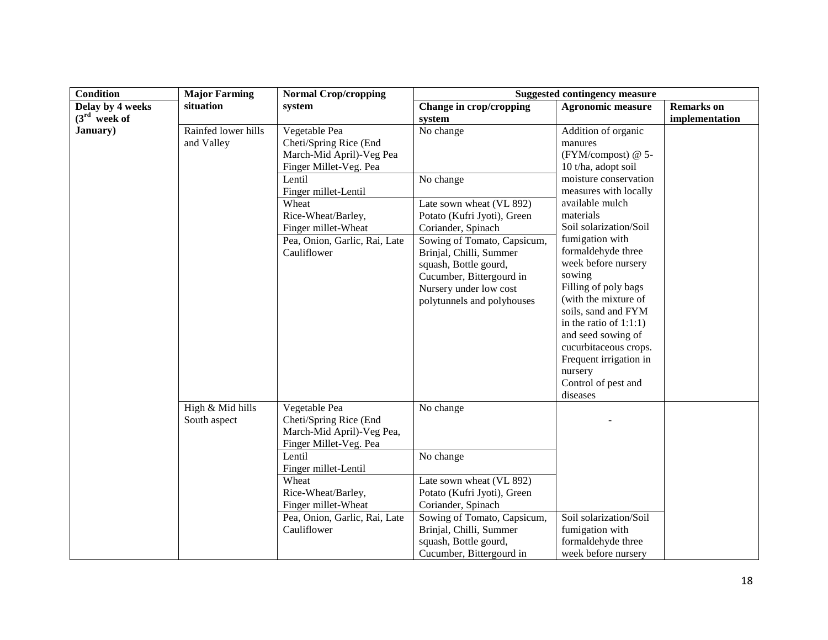| <b>Condition</b> | <b>Major Farming</b>              | <b>Normal Crop/cropping</b>                                                                                                                                                                                                            |                                                                                                                                                                                                                                                                                | <b>Suggested contingency measure</b>                                                                                                                                                                                                                                                                                                                                                                                                                                                         |                   |
|------------------|-----------------------------------|----------------------------------------------------------------------------------------------------------------------------------------------------------------------------------------------------------------------------------------|--------------------------------------------------------------------------------------------------------------------------------------------------------------------------------------------------------------------------------------------------------------------------------|----------------------------------------------------------------------------------------------------------------------------------------------------------------------------------------------------------------------------------------------------------------------------------------------------------------------------------------------------------------------------------------------------------------------------------------------------------------------------------------------|-------------------|
| Delay by 4 weeks | situation                         | system                                                                                                                                                                                                                                 | Change in crop/cropping                                                                                                                                                                                                                                                        | <b>Agronomic measure</b>                                                                                                                                                                                                                                                                                                                                                                                                                                                                     | <b>Remarks</b> on |
| $(3rd$ week of   |                                   |                                                                                                                                                                                                                                        | system                                                                                                                                                                                                                                                                         |                                                                                                                                                                                                                                                                                                                                                                                                                                                                                              | implementation    |
| January)         | Rainfed lower hills<br>and Valley | Vegetable Pea<br>Cheti/Spring Rice (End<br>March-Mid April)-Veg Pea<br>Finger Millet-Veg. Pea<br>Lentil<br>Finger millet-Lentil<br>Wheat<br>Rice-Wheat/Barley,<br>Finger millet-Wheat<br>Pea, Onion, Garlic, Rai, Late<br>Cauliflower  | No change<br>No change<br>Late sown wheat (VL 892)<br>Potato (Kufri Jyoti), Green<br>Coriander, Spinach<br>Sowing of Tomato, Capsicum,<br>Brinjal, Chilli, Summer<br>squash, Bottle gourd,<br>Cucumber, Bittergourd in<br>Nursery under low cost<br>polytunnels and polyhouses | Addition of organic<br>manures<br>(FYM/compost) @ 5-<br>10 t/ha, adopt soil<br>moisture conservation<br>measures with locally<br>available mulch<br>materials<br>Soil solarization/Soil<br>fumigation with<br>formaldehyde three<br>week before nursery<br>sowing<br>Filling of poly bags<br>(with the mixture of<br>soils, sand and FYM<br>in the ratio of $1:1:1$ )<br>and seed sowing of<br>cucurbitaceous crops.<br>Frequent irrigation in<br>nursery<br>Control of pest and<br>diseases |                   |
|                  | High & Mid hills<br>South aspect  | Vegetable Pea<br>Cheti/Spring Rice (End<br>March-Mid April)-Veg Pea,<br>Finger Millet-Veg. Pea<br>Lentil<br>Finger millet-Lentil<br>Wheat<br>Rice-Wheat/Barley,<br>Finger millet-Wheat<br>Pea, Onion, Garlic, Rai, Late<br>Cauliflower | No change<br>No change<br>Late sown wheat (VL 892)<br>Potato (Kufri Jyoti), Green<br>Coriander, Spinach<br>Sowing of Tomato, Capsicum,<br>Brinjal, Chilli, Summer<br>squash, Bottle gourd,<br>Cucumber, Bittergourd in                                                         | Soil solarization/Soil<br>fumigation with<br>formaldehyde three<br>week before nursery                                                                                                                                                                                                                                                                                                                                                                                                       |                   |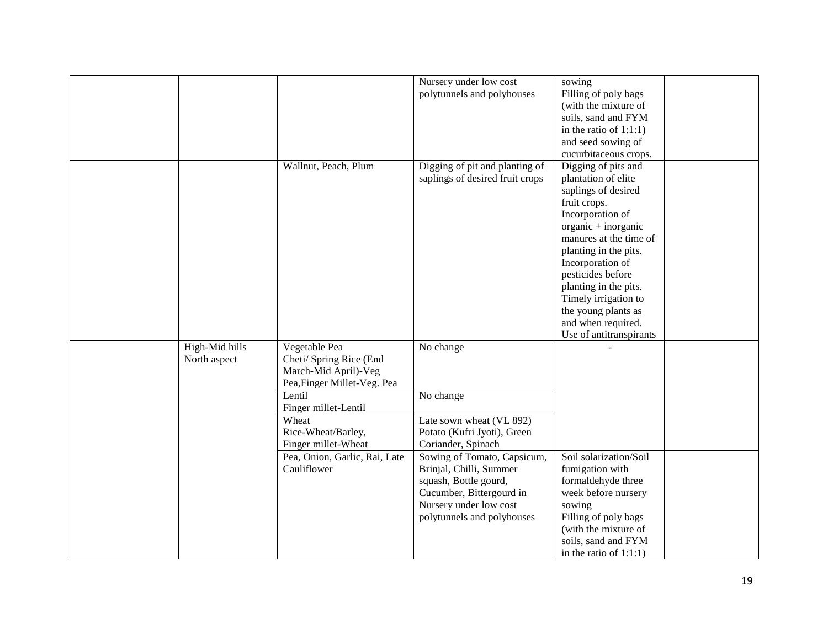|                |                               | Nursery under low cost          | sowing                    |  |
|----------------|-------------------------------|---------------------------------|---------------------------|--|
|                |                               | polytunnels and polyhouses      | Filling of poly bags      |  |
|                |                               |                                 | (with the mixture of      |  |
|                |                               |                                 | soils, sand and FYM       |  |
|                |                               |                                 | in the ratio of $1:1:1$ ) |  |
|                |                               |                                 | and seed sowing of        |  |
|                |                               |                                 | cucurbitaceous crops.     |  |
|                | Wallnut, Peach, Plum          | Digging of pit and planting of  | Digging of pits and       |  |
|                |                               | saplings of desired fruit crops | plantation of elite       |  |
|                |                               |                                 | saplings of desired       |  |
|                |                               |                                 | fruit crops.              |  |
|                |                               |                                 | Incorporation of          |  |
|                |                               |                                 | organic + inorganic       |  |
|                |                               |                                 | manures at the time of    |  |
|                |                               |                                 |                           |  |
|                |                               |                                 | planting in the pits.     |  |
|                |                               |                                 | Incorporation of          |  |
|                |                               |                                 | pesticides before         |  |
|                |                               |                                 | planting in the pits.     |  |
|                |                               |                                 | Timely irrigation to      |  |
|                |                               |                                 | the young plants as       |  |
|                |                               |                                 | and when required.        |  |
|                |                               |                                 | Use of antitranspirants   |  |
| High-Mid hills | Vegetable Pea                 | No change                       |                           |  |
| North aspect   | Cheti/ Spring Rice (End       |                                 |                           |  |
|                | March-Mid April)-Veg          |                                 |                           |  |
|                | Pea, Finger Millet-Veg. Pea   |                                 |                           |  |
|                | Lentil                        | No change                       |                           |  |
|                | Finger millet-Lentil          |                                 |                           |  |
|                | Wheat                         | Late sown wheat (VL 892)        |                           |  |
|                | Rice-Wheat/Barley,            | Potato (Kufri Jyoti), Green     |                           |  |
|                | Finger millet-Wheat           | Coriander, Spinach              |                           |  |
|                | Pea, Onion, Garlic, Rai, Late | Sowing of Tomato, Capsicum,     | Soil solarization/Soil    |  |
|                | Cauliflower                   | Brinjal, Chilli, Summer         | fumigation with           |  |
|                |                               | squash, Bottle gourd,           | formaldehyde three        |  |
|                |                               | Cucumber, Bittergourd in        | week before nursery       |  |
|                |                               | Nursery under low cost          | sowing                    |  |
|                |                               | polytunnels and polyhouses      | Filling of poly bags      |  |
|                |                               |                                 | (with the mixture of      |  |
|                |                               |                                 | soils, sand and FYM       |  |
|                |                               |                                 | in the ratio of $1:1:1$ ) |  |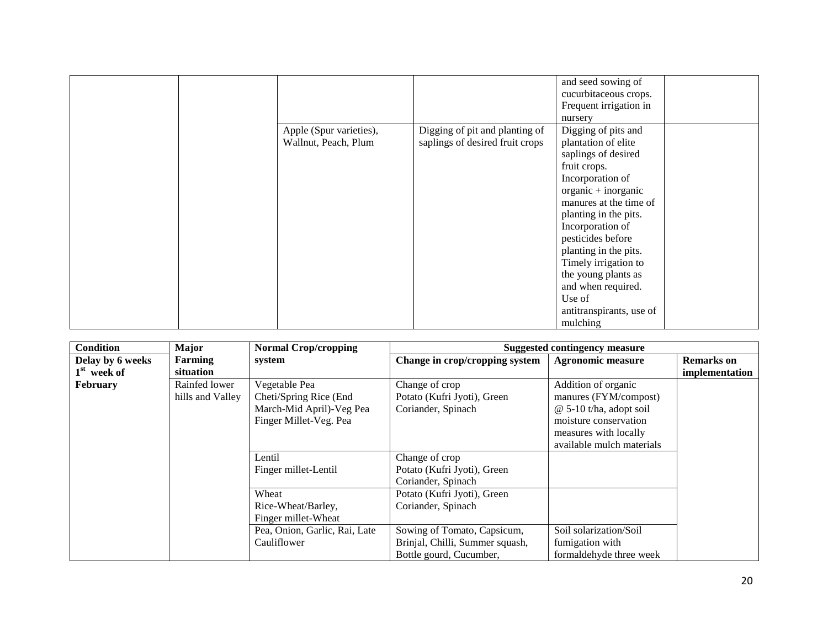|                         |                                 | and seed sowing of       |
|-------------------------|---------------------------------|--------------------------|
|                         |                                 | cucurbitaceous crops.    |
|                         |                                 | Frequent irrigation in   |
|                         |                                 | nursery                  |
| Apple (Spur varieties), | Digging of pit and planting of  | Digging of pits and      |
| Wallnut, Peach, Plum    | saplings of desired fruit crops | plantation of elite      |
|                         |                                 | saplings of desired      |
|                         |                                 | fruit crops.             |
|                         |                                 | Incorporation of         |
|                         |                                 | organic + inorganic      |
|                         |                                 | manures at the time of   |
|                         |                                 | planting in the pits.    |
|                         |                                 | Incorporation of         |
|                         |                                 | pesticides before        |
|                         |                                 | planting in the pits.    |
|                         |                                 | Timely irrigation to     |
|                         |                                 | the young plants as      |
|                         |                                 | and when required.       |
|                         |                                 | Use of                   |
|                         |                                 | antitranspirants, use of |
|                         |                                 | mulching                 |

| <b>Condition</b> | <b>Major</b>     | <b>Normal Crop/cropping</b>   |                                 | <b>Suggested contingency measure</b> |                   |
|------------------|------------------|-------------------------------|---------------------------------|--------------------------------------|-------------------|
| Delay by 6 weeks | Farming          | system                        | Change in crop/cropping system  | <b>Agronomic measure</b>             | <b>Remarks</b> on |
| $1st$ week of    | situation        |                               |                                 |                                      | implementation    |
| <b>February</b>  | Rainfed lower    | Vegetable Pea                 | Change of crop                  | Addition of organic                  |                   |
|                  | hills and Valley | Cheti/Spring Rice (End        | Potato (Kufri Jyoti), Green     | manures (FYM/compost)                |                   |
|                  |                  | March-Mid April)-Veg Pea      | Coriander, Spinach              | $@ 5-10 t/ha$ , adopt soil           |                   |
|                  |                  | Finger Millet-Veg. Pea        |                                 | moisture conservation                |                   |
|                  |                  |                               |                                 | measures with locally                |                   |
|                  |                  |                               |                                 | available mulch materials            |                   |
|                  |                  | Lentil                        | Change of crop                  |                                      |                   |
|                  |                  | Finger millet-Lentil          | Potato (Kufri Jyoti), Green     |                                      |                   |
|                  |                  |                               | Coriander, Spinach              |                                      |                   |
|                  |                  | Wheat                         | Potato (Kufri Jyoti), Green     |                                      |                   |
|                  |                  | Rice-Wheat/Barley,            | Coriander, Spinach              |                                      |                   |
|                  |                  | Finger millet-Wheat           |                                 |                                      |                   |
|                  |                  | Pea, Onion, Garlic, Rai, Late | Sowing of Tomato, Capsicum,     | Soil solarization/Soil               |                   |
|                  |                  | Cauliflower                   | Brinjal, Chilli, Summer squash, | fumigation with                      |                   |
|                  |                  |                               | Bottle gourd, Cucumber,         | formaldehyde three week              |                   |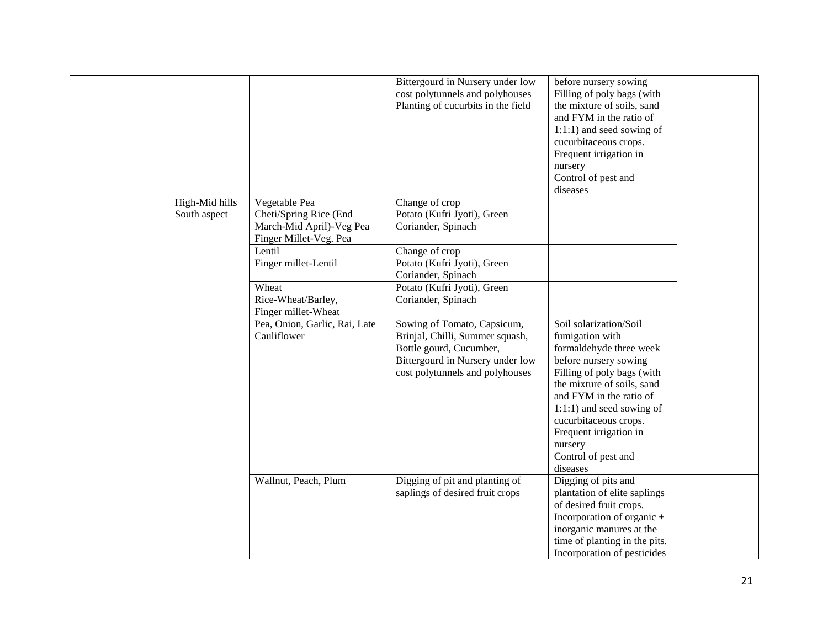|                                |                                                                                               | Bittergourd in Nursery under low<br>cost polytunnels and polyhouses<br>Planting of cucurbits in the field                                                        | before nursery sowing<br>Filling of poly bags (with<br>the mixture of soils, sand<br>and FYM in the ratio of<br>1:1:1) and seed sowing of<br>cucurbitaceous crops.<br>Frequent irrigation in<br>nursery<br>Control of pest and<br>diseases                                                                            |
|--------------------------------|-----------------------------------------------------------------------------------------------|------------------------------------------------------------------------------------------------------------------------------------------------------------------|-----------------------------------------------------------------------------------------------------------------------------------------------------------------------------------------------------------------------------------------------------------------------------------------------------------------------|
| High-Mid hills<br>South aspect | Vegetable Pea<br>Cheti/Spring Rice (End<br>March-Mid April)-Veg Pea<br>Finger Millet-Veg. Pea | Change of crop<br>Potato (Kufri Jyoti), Green<br>Coriander, Spinach                                                                                              |                                                                                                                                                                                                                                                                                                                       |
|                                | Lentil<br>Finger millet-Lentil                                                                | Change of crop<br>Potato (Kufri Jyoti), Green<br>Coriander, Spinach                                                                                              |                                                                                                                                                                                                                                                                                                                       |
|                                | Wheat<br>Rice-Wheat/Barley,<br>Finger millet-Wheat                                            | Potato (Kufri Jyoti), Green<br>Coriander, Spinach                                                                                                                |                                                                                                                                                                                                                                                                                                                       |
|                                | Pea, Onion, Garlic, Rai, Late<br>Cauliflower                                                  | Sowing of Tomato, Capsicum,<br>Brinjal, Chilli, Summer squash,<br>Bottle gourd, Cucumber,<br>Bittergourd in Nursery under low<br>cost polytunnels and polyhouses | Soil solarization/Soil<br>fumigation with<br>formaldehyde three week<br>before nursery sowing<br>Filling of poly bags (with<br>the mixture of soils, sand<br>and FYM in the ratio of<br>$1:1:1$ ) and seed sowing of<br>cucurbitaceous crops.<br>Frequent irrigation in<br>nursery<br>Control of pest and<br>diseases |
|                                | Wallnut, Peach, Plum                                                                          | Digging of pit and planting of<br>saplings of desired fruit crops                                                                                                | Digging of pits and<br>plantation of elite saplings<br>of desired fruit crops.<br>Incorporation of organic +<br>inorganic manures at the<br>time of planting in the pits.<br>Incorporation of pesticides                                                                                                              |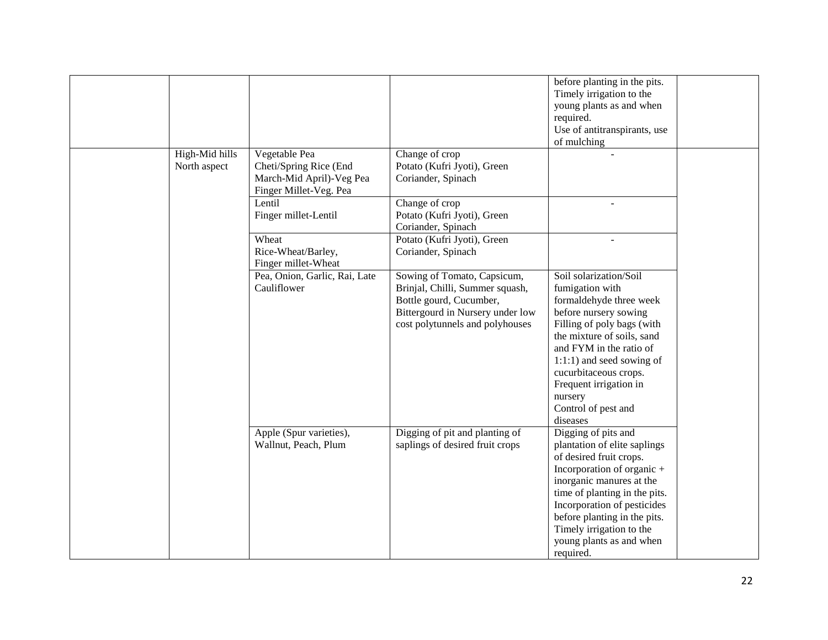| High-Mid hills | Vegetable Pea                                                                | Change of crop                                                                                                                                                   | before planting in the pits.<br>Timely irrigation to the<br>young plants as and when<br>required.<br>Use of antitranspirants, use<br>of mulching                                                                                                                                                                   |  |
|----------------|------------------------------------------------------------------------------|------------------------------------------------------------------------------------------------------------------------------------------------------------------|--------------------------------------------------------------------------------------------------------------------------------------------------------------------------------------------------------------------------------------------------------------------------------------------------------------------|--|
| North aspect   | Cheti/Spring Rice (End<br>March-Mid April)-Veg Pea<br>Finger Millet-Veg. Pea | Potato (Kufri Jyoti), Green<br>Coriander, Spinach                                                                                                                |                                                                                                                                                                                                                                                                                                                    |  |
|                | Lentil<br>Finger millet-Lentil                                               | Change of crop<br>Potato (Kufri Jyoti), Green<br>Coriander, Spinach                                                                                              |                                                                                                                                                                                                                                                                                                                    |  |
|                | Wheat<br>Rice-Wheat/Barley,<br>Finger millet-Wheat                           | Potato (Kufri Jyoti), Green<br>Coriander, Spinach                                                                                                                |                                                                                                                                                                                                                                                                                                                    |  |
|                | Pea, Onion, Garlic, Rai, Late<br>Cauliflower                                 | Sowing of Tomato, Capsicum,<br>Brinjal, Chilli, Summer squash,<br>Bottle gourd, Cucumber,<br>Bittergourd in Nursery under low<br>cost polytunnels and polyhouses | Soil solarization/Soil<br>fumigation with<br>formaldehyde three week<br>before nursery sowing<br>Filling of poly bags (with<br>the mixture of soils, sand<br>and FYM in the ratio of<br>1:1:1) and seed sowing of<br>cucurbitaceous crops.<br>Frequent irrigation in<br>nursery<br>Control of pest and<br>diseases |  |
|                | Apple (Spur varieties),<br>Wallnut, Peach, Plum                              | Digging of pit and planting of<br>saplings of desired fruit crops                                                                                                | Digging of pits and<br>plantation of elite saplings<br>of desired fruit crops.<br>Incorporation of organic +<br>inorganic manures at the<br>time of planting in the pits.<br>Incorporation of pesticides<br>before planting in the pits.<br>Timely irrigation to the<br>young plants as and when<br>required.      |  |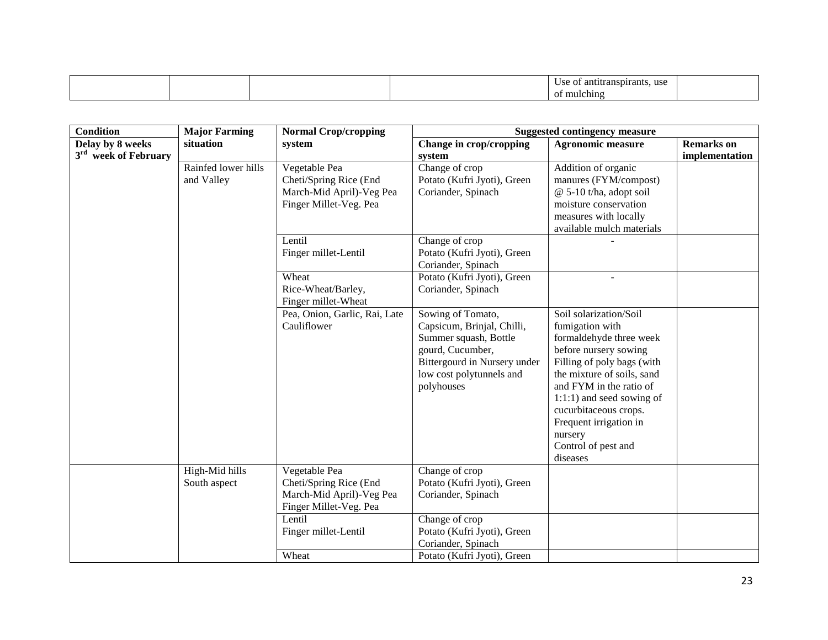|  |  | use<br>antitranspirants.<br>. |  |
|--|--|-------------------------------|--|
|  |  | mulching<br>ΩŤ                |  |

| <b>Condition</b>                                     | <b>Major Farming</b>              | <b>Normal Crop/cropping</b>                                                                   |                                                                                                                                                                        | <b>Suggested contingency measure</b>                                                                                                                                                                                                                                                                                  |                                     |
|------------------------------------------------------|-----------------------------------|-----------------------------------------------------------------------------------------------|------------------------------------------------------------------------------------------------------------------------------------------------------------------------|-----------------------------------------------------------------------------------------------------------------------------------------------------------------------------------------------------------------------------------------------------------------------------------------------------------------------|-------------------------------------|
| Delay by 8 weeks<br>3 <sup>rd</sup> week of February | situation                         | system                                                                                        | Change in crop/cropping<br>system                                                                                                                                      | <b>Agronomic measure</b>                                                                                                                                                                                                                                                                                              | <b>Remarks</b> on<br>implementation |
|                                                      | Rainfed lower hills<br>and Valley | Vegetable Pea<br>Cheti/Spring Rice (End<br>March-Mid April)-Veg Pea<br>Finger Millet-Veg. Pea | Change of crop<br>Potato (Kufri Jyoti), Green<br>Coriander, Spinach                                                                                                    | Addition of organic<br>manures (FYM/compost)<br>@ 5-10 t/ha, adopt soil<br>moisture conservation<br>measures with locally<br>available mulch materials                                                                                                                                                                |                                     |
|                                                      |                                   | Lentil<br>Finger millet-Lentil                                                                | Change of crop<br>Potato (Kufri Jyoti), Green<br>Coriander, Spinach                                                                                                    |                                                                                                                                                                                                                                                                                                                       |                                     |
|                                                      |                                   | Wheat<br>Rice-Wheat/Barley,<br>Finger millet-Wheat                                            | Potato (Kufri Jyoti), Green<br>Coriander, Spinach                                                                                                                      |                                                                                                                                                                                                                                                                                                                       |                                     |
|                                                      |                                   | Pea, Onion, Garlic, Rai, Late<br>Cauliflower                                                  | Sowing of Tomato,<br>Capsicum, Brinjal, Chilli,<br>Summer squash, Bottle<br>gourd, Cucumber,<br>Bittergourd in Nursery under<br>low cost polytunnels and<br>polyhouses | Soil solarization/Soil<br>fumigation with<br>formaldehyde three week<br>before nursery sowing<br>Filling of poly bags (with<br>the mixture of soils, sand<br>and FYM in the ratio of<br>$1:1:1$ ) and seed sowing of<br>cucurbitaceous crops.<br>Frequent irrigation in<br>nursery<br>Control of pest and<br>diseases |                                     |
|                                                      | High-Mid hills<br>South aspect    | Vegetable Pea<br>Cheti/Spring Rice (End<br>March-Mid April)-Veg Pea<br>Finger Millet-Veg. Pea | Change of crop<br>Potato (Kufri Jyoti), Green<br>Coriander, Spinach                                                                                                    |                                                                                                                                                                                                                                                                                                                       |                                     |
|                                                      |                                   | Lentil<br>Finger millet-Lentil                                                                | Change of crop<br>Potato (Kufri Jyoti), Green<br>Coriander, Spinach                                                                                                    |                                                                                                                                                                                                                                                                                                                       |                                     |
|                                                      |                                   | Wheat                                                                                         | Potato (Kufri Jyoti), Green                                                                                                                                            |                                                                                                                                                                                                                                                                                                                       |                                     |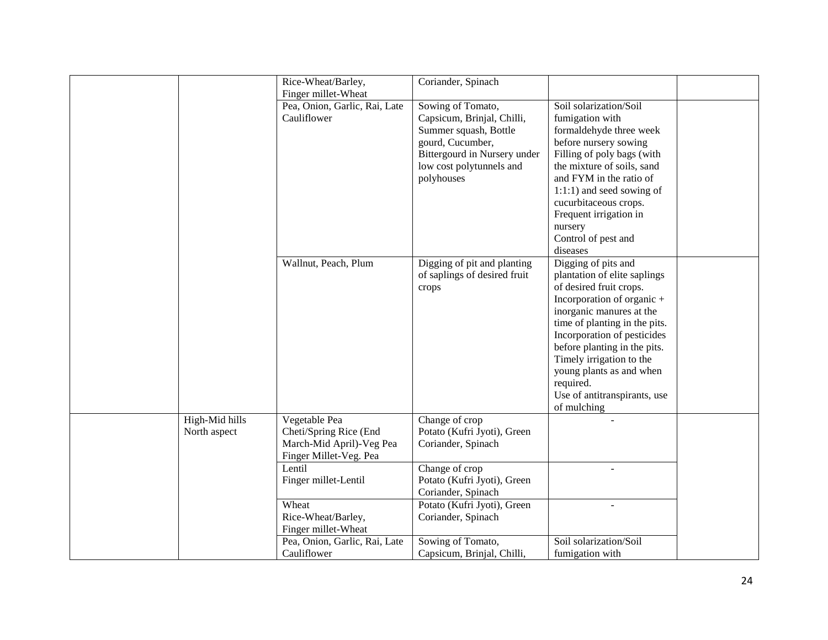|                | Rice-Wheat/Barley,<br>Finger millet-Wheat | Coriander, Spinach                                |                                 |  |
|----------------|-------------------------------------------|---------------------------------------------------|---------------------------------|--|
|                | Pea, Onion, Garlic, Rai, Late             | Sowing of Tomato,                                 | Soil solarization/Soil          |  |
|                | Cauliflower                               | Capsicum, Brinjal, Chilli,                        | fumigation with                 |  |
|                |                                           | Summer squash, Bottle                             | formaldehyde three week         |  |
|                |                                           | gourd, Cucumber,                                  | before nursery sowing           |  |
|                |                                           | Bittergourd in Nursery under                      | Filling of poly bags (with      |  |
|                |                                           | low cost polytunnels and                          | the mixture of soils, sand      |  |
|                |                                           | polyhouses                                        | and FYM in the ratio of         |  |
|                |                                           |                                                   | 1:1:1) and seed sowing of       |  |
|                |                                           |                                                   | cucurbitaceous crops.           |  |
|                |                                           |                                                   | Frequent irrigation in          |  |
|                |                                           |                                                   | nursery                         |  |
|                |                                           |                                                   | Control of pest and<br>diseases |  |
|                | Wallnut, Peach, Plum                      | Digging of pit and planting                       | Digging of pits and             |  |
|                |                                           | of saplings of desired fruit                      | plantation of elite saplings    |  |
|                |                                           | crops                                             | of desired fruit crops.         |  |
|                |                                           |                                                   | Incorporation of organic +      |  |
|                |                                           |                                                   | inorganic manures at the        |  |
|                |                                           |                                                   | time of planting in the pits.   |  |
|                |                                           |                                                   | Incorporation of pesticides     |  |
|                |                                           |                                                   | before planting in the pits.    |  |
|                |                                           |                                                   | Timely irrigation to the        |  |
|                |                                           |                                                   | young plants as and when        |  |
|                |                                           |                                                   | required.                       |  |
|                |                                           |                                                   | Use of antitranspirants, use    |  |
|                |                                           |                                                   | of mulching                     |  |
| High-Mid hills | Vegetable Pea                             | Change of crop                                    |                                 |  |
| North aspect   | Cheti/Spring Rice (End                    | Potato (Kufri Jyoti), Green                       |                                 |  |
|                | March-Mid April)-Veg Pea                  | Coriander, Spinach                                |                                 |  |
|                | Finger Millet-Veg. Pea                    |                                                   |                                 |  |
|                | Lentil                                    | Change of crop                                    |                                 |  |
|                | Finger millet-Lentil                      | Potato (Kufri Jyoti), Green                       |                                 |  |
|                | Wheat                                     | Coriander, Spinach<br>Potato (Kufri Jyoti), Green |                                 |  |
|                | Rice-Wheat/Barley,                        | Coriander, Spinach                                |                                 |  |
|                | Finger millet-Wheat                       |                                                   |                                 |  |
|                | Pea, Onion, Garlic, Rai, Late             | Sowing of Tomato,                                 | Soil solarization/Soil          |  |
|                | Cauliflower                               | Capsicum, Brinjal, Chilli,                        | fumigation with                 |  |
|                |                                           |                                                   |                                 |  |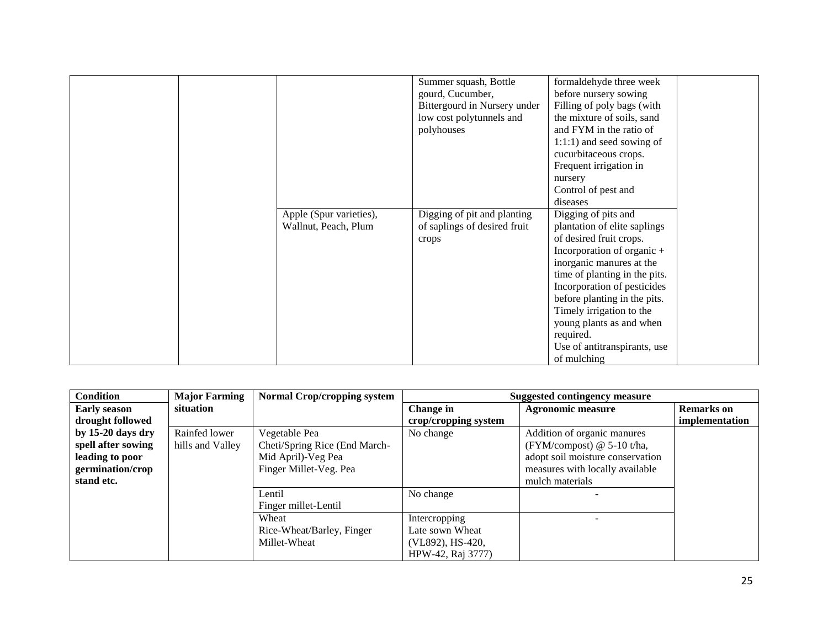|                                                 | Summer squash, Bottle<br>gourd, Cucumber,<br>Bittergourd in Nursery under<br>low cost polytunnels and<br>polyhouses | formaldehyde three week<br>before nursery sowing<br>Filling of poly bags (with<br>the mixture of soils, sand<br>and FYM in the ratio of<br>$1:1:1$ ) and seed sowing of                                                                                                                                                                                                  |
|-------------------------------------------------|---------------------------------------------------------------------------------------------------------------------|--------------------------------------------------------------------------------------------------------------------------------------------------------------------------------------------------------------------------------------------------------------------------------------------------------------------------------------------------------------------------|
|                                                 |                                                                                                                     | cucurbitaceous crops.<br>Frequent irrigation in<br>nursery<br>Control of pest and                                                                                                                                                                                                                                                                                        |
| Apple (Spur varieties),<br>Wallnut, Peach, Plum | Digging of pit and planting<br>of saplings of desired fruit<br>crops                                                | diseases<br>Digging of pits and<br>plantation of elite saplings<br>of desired fruit crops.<br>Incorporation of organic +<br>inorganic manures at the<br>time of planting in the pits.<br>Incorporation of pesticides<br>before planting in the pits.<br>Timely irrigation to the<br>young plants as and when<br>required.<br>Use of antitranspirants, use<br>of mulching |

| <b>Condition</b>    | <b>Major Farming</b> | <b>Normal Crop/cropping system</b> |                      | <b>Suggested contingency measure</b> |                   |
|---------------------|----------------------|------------------------------------|----------------------|--------------------------------------|-------------------|
| <b>Early season</b> | situation            |                                    | Change in            | <b>Agronomic measure</b>             | <b>Remarks</b> on |
| drought followed    |                      |                                    | crop/cropping system |                                      | implementation    |
| by 15-20 days dry   | Rainfed lower        | Vegetable Pea                      | No change            | Addition of organic manures          |                   |
| spell after sowing  | hills and Valley     | Cheti/Spring Rice (End March-      |                      | (FYM/compost) $@$ 5-10 t/ha,         |                   |
| leading to poor     |                      | Mid April)-Veg Pea                 |                      | adopt soil moisture conservation     |                   |
| germination/crop    |                      | Finger Millet-Veg. Pea             |                      | measures with locally available      |                   |
| stand etc.          |                      |                                    |                      | mulch materials                      |                   |
|                     |                      | Lentil                             | No change            |                                      |                   |
|                     |                      | Finger millet-Lentil               |                      |                                      |                   |
|                     |                      | Wheat                              | Intercropping        |                                      |                   |
|                     |                      | Rice-Wheat/Barley, Finger          | Late sown Wheat      |                                      |                   |
|                     |                      | Millet-Wheat                       | (VL892), HS-420,     |                                      |                   |
|                     |                      |                                    | HPW-42, Raj 3777)    |                                      |                   |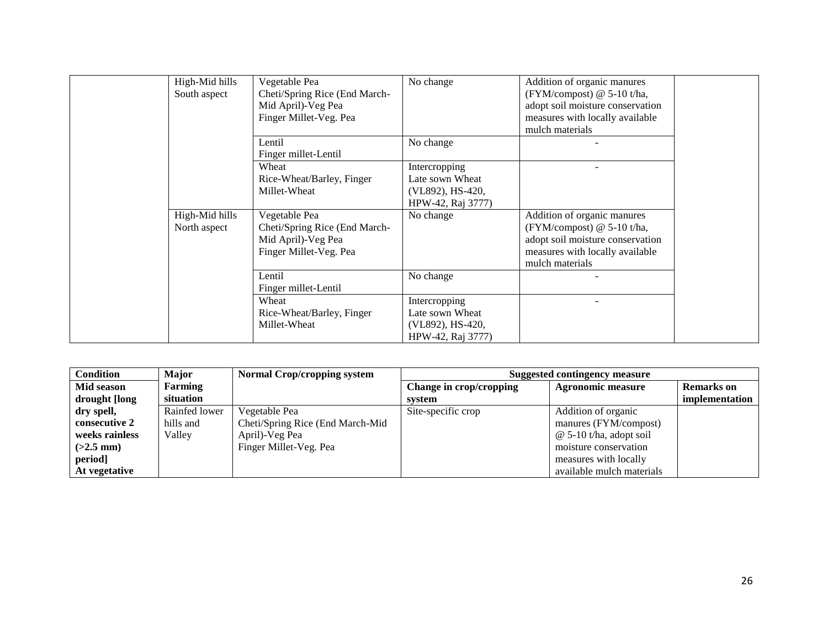| High-Mid hills<br>South aspect | Vegetable Pea<br>Cheti/Spring Rice (End March-<br>Mid April)-Veg Pea<br>Finger Millet-Veg. Pea | No change                                                                 | Addition of organic manures<br>(FYM/compost) $@$ 5-10 t/ha,<br>adopt soil moisture conservation<br>measures with locally available<br>mulch materials |  |
|--------------------------------|------------------------------------------------------------------------------------------------|---------------------------------------------------------------------------|-------------------------------------------------------------------------------------------------------------------------------------------------------|--|
|                                | Lentil<br>Finger millet-Lentil                                                                 | No change                                                                 |                                                                                                                                                       |  |
|                                | Wheat<br>Rice-Wheat/Barley, Finger<br>Millet-Wheat                                             | Intercropping<br>Late sown Wheat<br>(VL892), HS-420,<br>HPW-42, Raj 3777) |                                                                                                                                                       |  |
| High-Mid hills<br>North aspect | Vegetable Pea<br>Cheti/Spring Rice (End March-<br>Mid April)-Veg Pea<br>Finger Millet-Veg. Pea | No change                                                                 | Addition of organic manures<br>(FYM/compost) $@$ 5-10 t/ha,<br>adopt soil moisture conservation<br>measures with locally available<br>mulch materials |  |
|                                | Lentil<br>Finger millet-Lentil                                                                 | No change                                                                 |                                                                                                                                                       |  |
|                                | Wheat<br>Rice-Wheat/Barley, Finger<br>Millet-Wheat                                             | Intercropping<br>Late sown Wheat<br>(VL892), HS-420,<br>HPW-42, Raj 3777) |                                                                                                                                                       |  |

| <b>Condition</b> | Major          | Normal Crop/cropping system      | Suggested contingency measure |                           |                   |
|------------------|----------------|----------------------------------|-------------------------------|---------------------------|-------------------|
| Mid season       | <b>Farming</b> |                                  | Change in crop/cropping       | <b>Agronomic measure</b>  | <b>Remarks</b> on |
| drought [long    | situation      |                                  | system                        |                           | implementation    |
| dry spell,       | Rainfed lower  | Vegetable Pea                    | Site-specific crop            | Addition of organic       |                   |
| consecutive 2    | hills and      | Cheti/Spring Rice (End March-Mid |                               | manures (FYM/compost)     |                   |
| weeks rainless   | Valley         | April)-Veg Pea                   |                               | $@$ 5-10 t/ha, adopt soil |                   |
| $(>2.5$ mm)      |                | Finger Millet-Veg. Pea           |                               | moisture conservation     |                   |
| period]          |                |                                  |                               | measures with locally     |                   |
| At vegetative    |                |                                  |                               | available mulch materials |                   |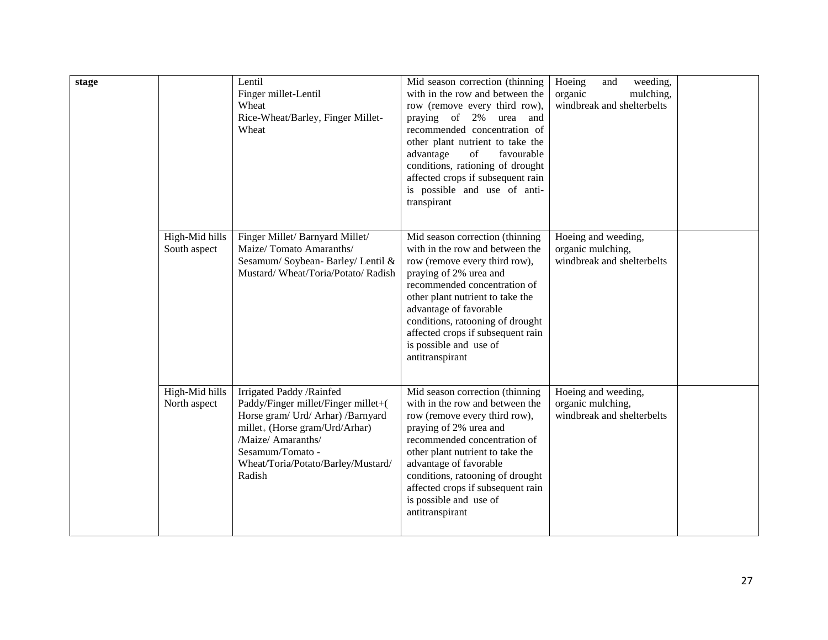| stage |                                | Lentil<br>Finger millet-Lentil<br>Wheat<br>Rice-Wheat/Barley, Finger Millet-<br>Wheat                                                                                                                                                  | Mid season correction (thinning<br>with in the row and between the<br>row (remove every third row),<br>praying of 2%<br>urea and<br>recommended concentration of<br>other plant nutrient to take the<br>advantage<br>favourable<br>of<br>conditions, rationing of drought<br>affected crops if subsequent rain<br>is possible and use of anti-<br>transpirant | weeding,<br>Hoeing<br>and<br>mulching,<br>organic<br>windbreak and shelterbelts |  |
|-------|--------------------------------|----------------------------------------------------------------------------------------------------------------------------------------------------------------------------------------------------------------------------------------|---------------------------------------------------------------------------------------------------------------------------------------------------------------------------------------------------------------------------------------------------------------------------------------------------------------------------------------------------------------|---------------------------------------------------------------------------------|--|
|       | High-Mid hills<br>South aspect | Finger Millet/ Barnyard Millet/<br>Maize/Tomato Amaranths/<br>Sesamum/ Soybean- Barley/ Lentil &<br>Mustard/Wheat/Toria/Potato/Radish                                                                                                  | Mid season correction (thinning<br>with in the row and between the<br>row (remove every third row),<br>praying of 2% urea and<br>recommended concentration of<br>other plant nutrient to take the<br>advantage of favorable<br>conditions, ratooning of drought<br>affected crops if subsequent rain<br>is possible and use of<br>antitranspirant             | Hoeing and weeding,<br>organic mulching,<br>windbreak and shelterbelts          |  |
|       | High-Mid hills<br>North aspect | Irrigated Paddy / Rainfed<br>Paddy/Finger millet/Finger millet+(<br>Horse gram/ Urd/ Arhar) /Barnyard<br>$millet_{+}$ (Horse gram/Urd/Arhar)<br>/Maize/ Amaranths/<br>Sesamum/Tomato -<br>Wheat/Toria/Potato/Barley/Mustard/<br>Radish | Mid season correction (thinning<br>with in the row and between the<br>row (remove every third row),<br>praying of 2% urea and<br>recommended concentration of<br>other plant nutrient to take the<br>advantage of favorable<br>conditions, ratooning of drought<br>affected crops if subsequent rain<br>is possible and use of<br>antitranspirant             | Hoeing and weeding,<br>organic mulching,<br>windbreak and shelterbelts          |  |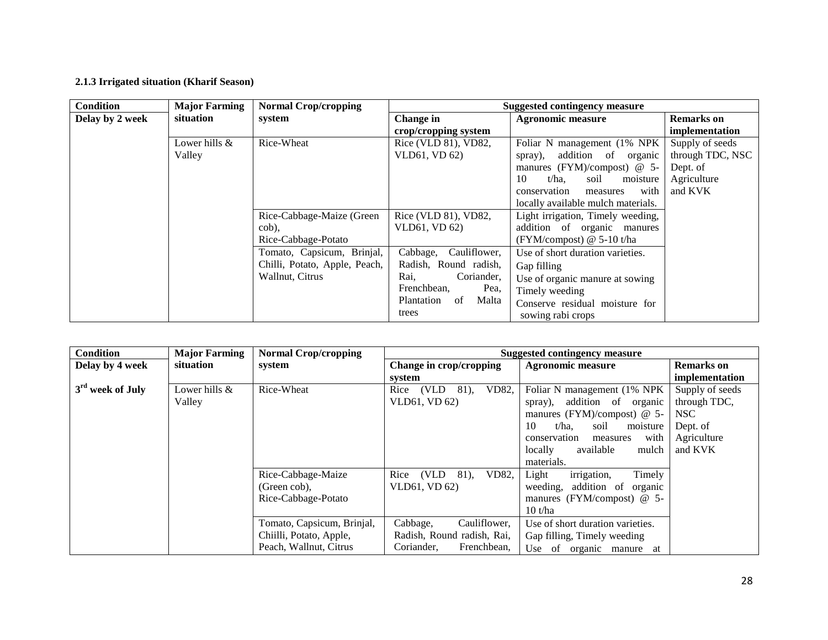## **2.1.3 Irrigated situation (Kharif Season)**

| <b>Condition</b> | <b>Major Farming</b> | <b>Normal Crop/cropping</b>   |                           | <b>Suggested contingency measure</b> |                   |
|------------------|----------------------|-------------------------------|---------------------------|--------------------------------------|-------------------|
| Delay by 2 week  | situation            | system                        | Change in                 | <b>Agronomic measure</b>             | <b>Remarks</b> on |
|                  |                      |                               | crop/cropping system      |                                      | implementation    |
|                  | Lower hills $&$      | Rice-Wheat                    | Rice (VLD 81), VD82,      | Foliar N management (1% NPK          | Supply of seeds   |
|                  | Valley               |                               | VLD61, VD 62)             | addition<br>of organic<br>spray),    | through TDC, NSC  |
|                  |                      |                               |                           | manures (FYM)/compost) $@$ 5-        | Dept. of          |
|                  |                      |                               |                           | 10<br>t/ha.<br>moisture<br>soil      | Agriculture       |
|                  |                      |                               |                           | with<br>conservation<br>measures     | and KVK           |
|                  |                      |                               |                           | locally available mulch materials.   |                   |
|                  |                      | Rice-Cabbage-Maize (Green     | Rice (VLD 81), VD82,      | Light irrigation, Timely weeding,    |                   |
|                  |                      | cob).                         | VLD61, VD 62)             | addition of organic manures          |                   |
|                  |                      | Rice-Cabbage-Potato           |                           | (FYM/compost) $@$ 5-10 t/ha          |                   |
|                  |                      | Tomato, Capsicum, Brinjal,    | Cabbage,<br>Cauliflower,  | Use of short duration varieties.     |                   |
|                  |                      | Chilli, Potato, Apple, Peach, | Radish, Round radish,     | Gap filling                          |                   |
|                  |                      | Wallnut, Citrus               | Rai.<br>Coriander,        | Use of organic manure at sowing      |                   |
|                  |                      |                               | Frenchbean,<br>Pea,       | Timely weeding                       |                   |
|                  |                      |                               | Malta<br>Plantation<br>of | Conserve residual moisture for       |                   |
|                  |                      |                               | trees                     | sowing rabi crops                    |                   |

| <b>Condition</b>   | <b>Major Farming</b> | <b>Normal Crop/cropping</b> |                                | <b>Suggested contingency measure</b> |                   |
|--------------------|----------------------|-----------------------------|--------------------------------|--------------------------------------|-------------------|
| Delay by 4 week    | situation            | system                      | Change in crop/cropping        | <b>Agronomic measure</b>             | <b>Remarks</b> on |
|                    |                      |                             | system                         |                                      | implementation    |
| $3rd$ week of July | Lower hills &        | Rice-Wheat                  | (VLD)<br>VD82,<br>81).<br>Rice | Foliar N management (1% NPK)         | Supply of seeds   |
|                    | Valley               |                             | VLD61, VD 62)                  | addition of organic<br>spray),       | through TDC,      |
|                    |                      |                             |                                | manures (FYM)/compost) $@$ 5-        | NSC               |
|                    |                      |                             |                                | soil<br>10<br>t/ha.<br>moisture      | Dept. of          |
|                    |                      |                             |                                | with<br>conservation<br>measures     | Agriculture       |
|                    |                      |                             |                                | available<br>locally<br>mulch        | and KVK           |
|                    |                      |                             |                                | materials.                           |                   |
|                    |                      | Rice-Cabbage-Maize          | (VLD)<br>VD82.<br>Rice<br>81). | irrigation,<br>Timely<br>Light       |                   |
|                    |                      | (Green cob),                | VLD61, VD 62)                  | addition of<br>weeding,<br>organic   |                   |
|                    |                      | Rice-Cabbage-Potato         |                                | manures (FYM/compost) $@$ 5-         |                   |
|                    |                      |                             |                                | 10 t/ha                              |                   |
|                    |                      | Tomato, Capsicum, Brinjal,  | Cabbage,<br>Cauliflower,       | Use of short duration varieties.     |                   |
|                    |                      | Chiilli, Potato, Apple,     | Radish, Round radish, Rai.     | Gap filling, Timely weeding          |                   |
|                    |                      | Peach, Wallnut, Citrus      | Coriander,<br>Frenchbean.      | Use of organic manure at             |                   |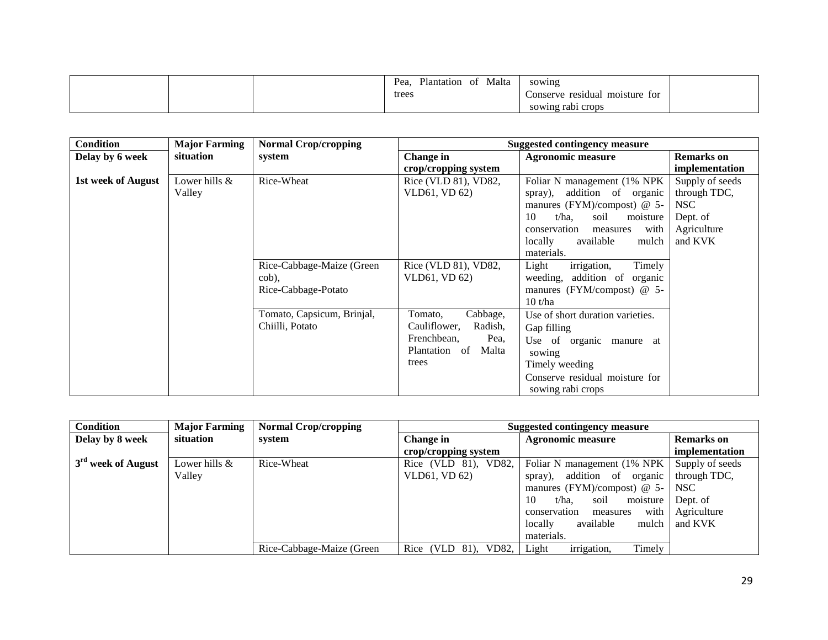|  | Malta<br>Plantation<br>Pea.<br>ΟĪ<br>trees | sowing<br>moisture for<br>Conserve residual<br>sowing rabi crops |  |
|--|--------------------------------------------|------------------------------------------------------------------|--|
|--|--------------------------------------------|------------------------------------------------------------------|--|

| <b>Condition</b>          | <b>Major Farming</b> | <b>Normal Crop/cropping</b> |                         | <b>Suggested contingency measure</b>                |                   |
|---------------------------|----------------------|-----------------------------|-------------------------|-----------------------------------------------------|-------------------|
| Delay by 6 week           | situation            | system                      | Change in               | <b>Agronomic measure</b>                            | <b>Remarks</b> on |
|                           |                      |                             | crop/cropping system    |                                                     | implementation    |
| <b>1st week of August</b> | Lower hills &        | Rice-Wheat                  | Rice (VLD 81), VD82,    | Foliar N management (1% NPK)                        | Supply of seeds   |
|                           | Valley               |                             | VLD61, VD 62)           | addition of organic<br>spray),                      | through TDC,      |
|                           |                      |                             |                         | manures (FYM)/compost) $@$ 5-                       | NSC               |
|                           |                      |                             |                         | $t/ha$ .<br>soil<br>10<br>moisture                  | Dept. of          |
|                           |                      |                             |                         | with<br>conservation<br>measures                    | Agriculture       |
|                           |                      |                             |                         | locally<br>available<br>mulch                       | and KVK           |
|                           |                      |                             |                         | materials.                                          |                   |
|                           |                      | Rice-Cabbage-Maize (Green   | Rice (VLD 81), VD82,    | Timely<br>irrigation,<br>Light                      |                   |
|                           |                      | cob),                       | VLD61, VD 62)           | weeding,<br>addition of organic                     |                   |
|                           |                      | Rice-Cabbage-Potato         |                         | manures (FYM/compost) $@$ 5-                        |                   |
|                           |                      |                             |                         | 10 t/ha                                             |                   |
|                           |                      | Tomato, Capsicum, Brinjal,  | Cabbage,<br>Tomato,     | Use of short duration varieties.                    |                   |
|                           |                      | Chiilli, Potato             | Cauliflower.<br>Radish, | Gap filling                                         |                   |
|                           |                      |                             | Frenchbean.<br>Pea,     | Use of organic manure at                            |                   |
|                           |                      |                             | Plantation of<br>Malta  | sowing                                              |                   |
|                           |                      |                             | trees                   | Timely weeding                                      |                   |
|                           |                      |                             |                         | Conserve residual moisture for<br>sowing rabi crops |                   |

| <b>Condition</b>               | <b>Major Farming</b> | <b>Normal Crop/cropping</b> | Suggested contingency measure |                                            |                   |
|--------------------------------|----------------------|-----------------------------|-------------------------------|--------------------------------------------|-------------------|
| Delay by 8 week                | situation            | system                      | <b>Change in</b>              | <b>Agronomic measure</b>                   | <b>Remarks</b> on |
|                                |                      |                             | crop/cropping system          |                                            | implementation    |
| 3 <sup>rd</sup> week of August | Lower hills &        | Rice-Wheat                  | Rice (VLD 81), VD82,          | Foliar N management (1% NPK                | Supply of seeds   |
|                                | Valley               |                             | VLD61, VD 62)                 | addition of organic<br>spray),             | through TDC.      |
|                                |                      |                             |                               | manures (FYM)/compost) $@$ 5- NSC          |                   |
|                                |                      |                             |                               | moisture   Dept. of<br>10<br>t/ha.<br>soil |                   |
|                                |                      |                             |                               | with<br>conservation<br>measures           | Agriculture       |
|                                |                      |                             |                               | available<br>locally<br>mulch              | and KVK           |
|                                |                      |                             |                               | materials.                                 |                   |
|                                |                      | Rice-Cabbage-Maize (Green   | Rice (VLD 81), VD82,          | irrigation,<br>Timely<br>Light             |                   |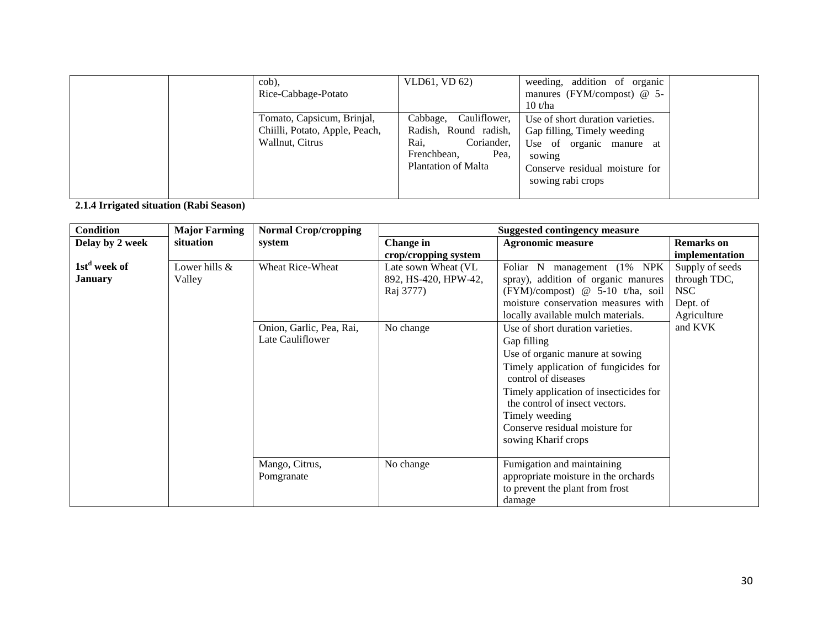| cob),<br>Rice-Cabbage-Potato                                                    | VLD61, VD 62)                                                                                                                | weeding, addition of organic<br>manures (FYM/compost) $@$ 5-<br>10 t/ha                                                                                      |  |
|---------------------------------------------------------------------------------|------------------------------------------------------------------------------------------------------------------------------|--------------------------------------------------------------------------------------------------------------------------------------------------------------|--|
| Tomato, Capsicum, Brinjal,<br>Chiilli, Potato, Apple, Peach,<br>Wallnut, Citrus | Cauliflower,<br>Cabbage,<br>Radish, Round radish,<br>Coriander,<br>Rai.<br>Frenchbean,<br>Pea.<br><b>Plantation of Malta</b> | Use of short duration varieties.<br>Gap filling, Timely weeding<br>Use of organic manure at<br>sowing<br>Conserve residual moisture for<br>sowing rabi crops |  |

**2.1.4 Irrigated situation (Rabi Season)**

| <b>Condition</b>         | <b>Major Farming</b> | <b>Normal Crop/cropping</b> |                      | <b>Suggested contingency measure</b>   |                   |
|--------------------------|----------------------|-----------------------------|----------------------|----------------------------------------|-------------------|
| Delay by 2 week          | situation            | system                      | <b>Change</b> in     | <b>Agronomic measure</b>               | <b>Remarks</b> on |
|                          |                      |                             | crop/cropping system |                                        | implementation    |
| 1st <sup>d</sup> week of | Lower hills &        | Wheat Rice-Wheat            | Late sown Wheat (VL  | Foliar N management (1% NPK            | Supply of seeds   |
| <b>January</b>           | Valley               |                             | 892, HS-420, HPW-42, | spray), addition of organic manures    | through TDC,      |
|                          |                      |                             | Raj 3777)            | (FYM)/compost) @ 5-10 t/ha, soil       | <b>NSC</b>        |
|                          |                      |                             |                      | moisture conservation measures with    | Dept. of          |
|                          |                      |                             |                      | locally available mulch materials.     | Agriculture       |
|                          |                      | Onion, Garlic, Pea, Rai,    | No change            | Use of short duration varieties.       | and KVK           |
|                          |                      | Late Cauliflower            |                      | Gap filling                            |                   |
|                          |                      |                             |                      | Use of organic manure at sowing        |                   |
|                          |                      |                             |                      | Timely application of fungicides for   |                   |
|                          |                      |                             |                      | control of diseases                    |                   |
|                          |                      |                             |                      | Timely application of insecticides for |                   |
|                          |                      |                             |                      | the control of insect vectors.         |                   |
|                          |                      |                             |                      | Timely weeding                         |                   |
|                          |                      |                             |                      | Conserve residual moisture for         |                   |
|                          |                      |                             |                      | sowing Kharif crops                    |                   |
|                          |                      |                             |                      |                                        |                   |
|                          |                      | Mango, Citrus,              | No change            | Fumigation and maintaining             |                   |
|                          |                      | Pomgranate                  |                      | appropriate moisture in the orchards   |                   |
|                          |                      |                             |                      | to prevent the plant from frost        |                   |
|                          |                      |                             |                      | damage                                 |                   |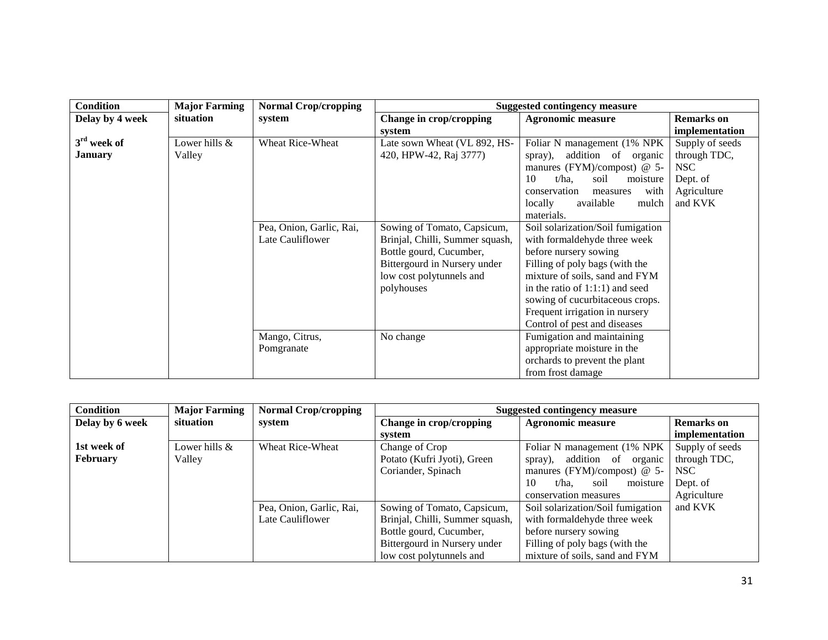| <b>Condition</b> | <b>Major Farming</b> | <b>Normal Crop/cropping</b> |                                 | <b>Suggested contingency measure</b> |                   |
|------------------|----------------------|-----------------------------|---------------------------------|--------------------------------------|-------------------|
| Delay by 4 week  | situation            | system                      | Change in crop/cropping         | <b>Agronomic measure</b>             | <b>Remarks</b> on |
|                  |                      |                             | system                          |                                      | implementation    |
| $3rd$ week of    | Lower hills &        | <b>Wheat Rice-Wheat</b>     | Late sown Wheat (VL 892, HS-    | Foliar N management (1% NPK)         | Supply of seeds   |
| <b>January</b>   | Valley               |                             | 420, HPW-42, Raj 3777)          | addition of organic<br>spray),       | through TDC,      |
|                  |                      |                             |                                 | manures (FYM)/compost) $@$ 5-        | NSC               |
|                  |                      |                             |                                 | $t/ha$ .<br>10<br>soil<br>moisture   | Dept. of          |
|                  |                      |                             |                                 | with<br>conservation<br>measures     | Agriculture       |
|                  |                      |                             |                                 | available<br>mulch<br>locally        | and KVK           |
|                  |                      |                             |                                 | materials.                           |                   |
|                  |                      | Pea, Onion, Garlic, Rai,    | Sowing of Tomato, Capsicum,     | Soil solarization/Soil fumigation    |                   |
|                  |                      | Late Cauliflower            | Brinjal, Chilli, Summer squash, | with formaldehyde three week         |                   |
|                  |                      |                             | Bottle gourd, Cucumber,         | before nursery sowing                |                   |
|                  |                      |                             | Bittergourd in Nursery under    | Filling of poly bags (with the       |                   |
|                  |                      |                             | low cost polytunnels and        | mixture of soils, sand and FYM       |                   |
|                  |                      |                             | polyhouses                      | in the ratio of $1:1:1$ ) and seed   |                   |
|                  |                      |                             |                                 | sowing of cucurbitaceous crops.      |                   |
|                  |                      |                             |                                 | Frequent irrigation in nursery       |                   |
|                  |                      |                             |                                 | Control of pest and diseases         |                   |
|                  |                      | Mango, Citrus,              | No change                       | Fumigation and maintaining           |                   |
|                  |                      | Pomgranate                  |                                 | appropriate moisture in the          |                   |
|                  |                      |                             |                                 | orchards to prevent the plant        |                   |
|                  |                      |                             |                                 | from frost damage                    |                   |

| <b>Condition</b> | <b>Major Farming</b> | <b>Normal Crop/cropping</b> | <b>Suggested contingency measure</b> |                                   |                   |
|------------------|----------------------|-----------------------------|--------------------------------------|-----------------------------------|-------------------|
| Delay by 6 week  | situation            | system                      | Change in crop/cropping              | <b>Agronomic measure</b>          | <b>Remarks</b> on |
|                  |                      |                             | system                               |                                   | implementation    |
| 1st week of      | Lower hills &        | <b>Wheat Rice-Wheat</b>     | Change of Crop                       | Foliar N management (1% NPK       | Supply of seeds   |
| <b>February</b>  | Valley               |                             | Potato (Kufri Jyoti), Green          | addition of organic<br>spray),    | through TDC,      |
|                  |                      |                             | Coriander, Spinach                   | manures (FYM)/compost) $@$ 5-     | NSC               |
|                  |                      |                             |                                      | 10<br>t/ha.<br>moisture<br>soil   | Dept. of          |
|                  |                      |                             |                                      | conservation measures             | Agriculture       |
|                  |                      | Pea, Onion, Garlic, Rai,    | Sowing of Tomato, Capsicum,          | Soil solarization/Soil fumigation | and KVK           |
|                  |                      | Late Cauliflower            | Brinjal, Chilli, Summer squash,      | with formaldehyde three week      |                   |
|                  |                      |                             | Bottle gourd, Cucumber,              | before nursery sowing             |                   |
|                  |                      |                             | Bittergourd in Nursery under         | Filling of poly bags (with the    |                   |
|                  |                      |                             | low cost polytunnels and             | mixture of soils, sand and FYM    |                   |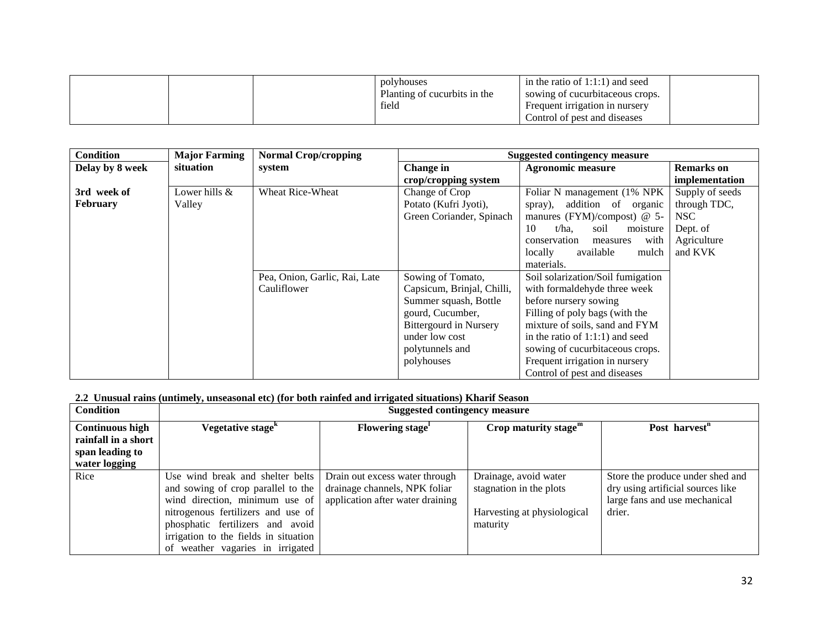|  | polyhouses<br>Planting of cucurbits in the<br>field | in the ratio of $1:1:1$ and seed<br>sowing of cucurbitaceous crops.<br>Frequent irrigation in nursery<br>Control of pest and diseases |  |
|--|-----------------------------------------------------|---------------------------------------------------------------------------------------------------------------------------------------|--|
|--|-----------------------------------------------------|---------------------------------------------------------------------------------------------------------------------------------------|--|

| <b>Condition</b> | <b>Major Farming</b> | <b>Normal Crop/cropping</b>   |                               | <b>Suggested contingency measure</b> |                   |
|------------------|----------------------|-------------------------------|-------------------------------|--------------------------------------|-------------------|
| Delay by 8 week  | situation            | system                        | Change in                     | <b>Agronomic measure</b>             | <b>Remarks</b> on |
|                  |                      |                               | crop/cropping system          |                                      | implementation    |
| 3rd week of      | Lower hills &        | <b>Wheat Rice-Wheat</b>       | Change of Crop                | Foliar N management (1% NPK)         | Supply of seeds   |
| February         | Valley               |                               | Potato (Kufri Jyoti),         | addition<br>of organic<br>spray),    | through TDC,      |
|                  |                      |                               | Green Coriander, Spinach      | manures (FYM)/compost) $@$ 5-        | NSC               |
|                  |                      |                               |                               | soil<br>10<br>t/ha.<br>moisture      | Dept. of          |
|                  |                      |                               |                               | with<br>conservation<br>measures     | Agriculture       |
|                  |                      |                               |                               | locally<br>available<br>mulch        | and KVK           |
|                  |                      |                               |                               | materials.                           |                   |
|                  |                      | Pea, Onion, Garlic, Rai, Late | Sowing of Tomato,             | Soil solarization/Soil fumigation    |                   |
|                  |                      | Cauliflower                   | Capsicum, Brinjal, Chilli,    | with formaldehyde three week         |                   |
|                  |                      |                               | Summer squash, Bottle         | before nursery sowing                |                   |
|                  |                      |                               | gourd, Cucumber,              | Filling of poly bags (with the       |                   |
|                  |                      |                               | <b>Bittergourd in Nursery</b> | mixture of soils, sand and FYM       |                   |
|                  |                      |                               | under low cost                | in the ratio of $1:1:1$ ) and seed   |                   |
|                  |                      |                               | polytunnels and               | sowing of cucurbitaceous crops.      |                   |
|                  |                      |                               | polyhouses                    | Frequent irrigation in nursery       |                   |
|                  |                      |                               |                               | Control of pest and diseases         |                   |

#### **2.2 Unusual rains (untimely, unseasonal etc) (for both rainfed and irrigated situations) Kharif Season**

| <b>Condition</b>                                                                  | <b>Suggested contingency measure</b>                                                                                                                                                                                                                            |                                                                                                     |                                                                                             |                                                                                                                  |  |
|-----------------------------------------------------------------------------------|-----------------------------------------------------------------------------------------------------------------------------------------------------------------------------------------------------------------------------------------------------------------|-----------------------------------------------------------------------------------------------------|---------------------------------------------------------------------------------------------|------------------------------------------------------------------------------------------------------------------|--|
| <b>Continuous high</b><br>rainfall in a short<br>span leading to<br>water logging | Vegetative stage <sup>k</sup>                                                                                                                                                                                                                                   | Flowering stage <sup>1</sup>                                                                        | Crop maturity stage $m$                                                                     | Post harvest <sup>n</sup>                                                                                        |  |
| Rice                                                                              | Use wind break and shelter belts<br>and sowing of crop parallel to the<br>wind direction, minimum use of<br>nitrogenous fertilizers and use of<br>phosphatic fertilizers and avoid<br>irrigation to the fields in situation<br>of weather vagaries in irrigated | Drain out excess water through<br>drainage channels, NPK foliar<br>application after water draining | Drainage, avoid water<br>stagnation in the plots<br>Harvesting at physiological<br>maturity | Store the produce under shed and<br>dry using artificial sources like<br>large fans and use mechanical<br>drier. |  |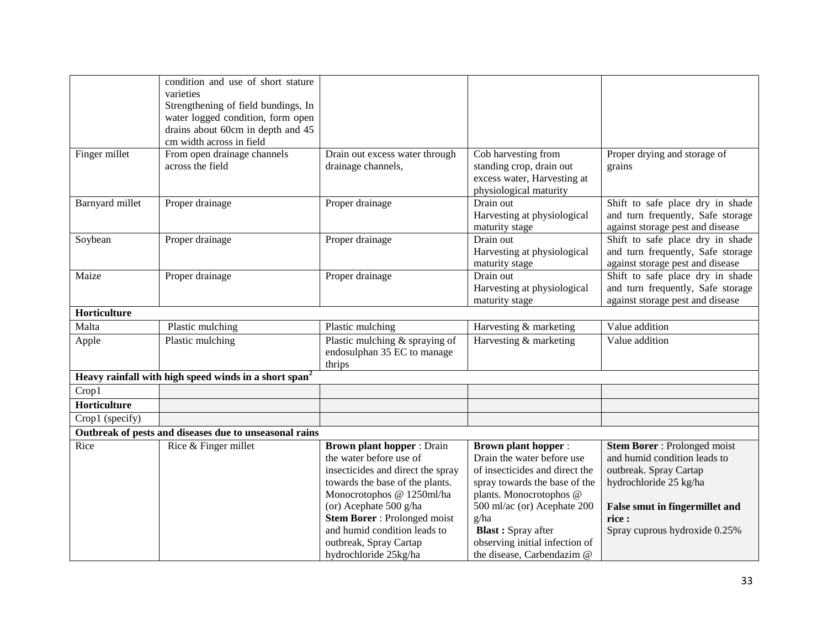|                 | condition and use of short stature                                |                                     |                                |                                       |
|-----------------|-------------------------------------------------------------------|-------------------------------------|--------------------------------|---------------------------------------|
|                 | varieties                                                         |                                     |                                |                                       |
|                 | Strengthening of field bundings, In                               |                                     |                                |                                       |
|                 | water logged condition, form open                                 |                                     |                                |                                       |
|                 | drains about 60cm in depth and 45                                 |                                     |                                |                                       |
|                 | cm width across in field                                          |                                     |                                |                                       |
| Finger millet   | From open drainage channels                                       | Drain out excess water through      | Cob harvesting from            | Proper drying and storage of          |
|                 | across the field                                                  | drainage channels,                  | standing crop, drain out       | grains                                |
|                 |                                                                   |                                     | excess water, Harvesting at    |                                       |
|                 |                                                                   |                                     | physiological maturity         |                                       |
| Barnyard millet | Proper drainage                                                   | Proper drainage                     | Drain out                      | Shift to safe place dry in shade      |
|                 |                                                                   |                                     | Harvesting at physiological    | and turn frequently, Safe storage     |
|                 |                                                                   |                                     | maturity stage                 | against storage pest and disease      |
| Soybean         | Proper drainage                                                   | Proper drainage                     | Drain out                      | Shift to safe place dry in shade      |
|                 |                                                                   |                                     | Harvesting at physiological    | and turn frequently, Safe storage     |
|                 |                                                                   |                                     | maturity stage                 | against storage pest and disease      |
| Maize           | Proper drainage                                                   | Proper drainage                     | Drain out                      | Shift to safe place dry in shade      |
|                 |                                                                   |                                     | Harvesting at physiological    | and turn frequently, Safe storage     |
|                 |                                                                   |                                     | maturity stage                 | against storage pest and disease      |
| Horticulture    |                                                                   |                                     |                                |                                       |
| Malta           | Plastic mulching                                                  | Plastic mulching                    | Harvesting & marketing         | Value addition                        |
| Apple           | Plastic mulching                                                  | Plastic mulching & spraying of      | Harvesting & marketing         | Value addition                        |
|                 |                                                                   | endosulphan 35 EC to manage         |                                |                                       |
|                 |                                                                   | thrips                              |                                |                                       |
|                 | Heavy rainfall with high speed winds in a short span <sup>2</sup> |                                     |                                |                                       |
| Crop1           |                                                                   |                                     |                                |                                       |
| Horticulture    |                                                                   |                                     |                                |                                       |
| Crop1 (specify) |                                                                   |                                     |                                |                                       |
|                 | Outbreak of pests and diseases due to unseasonal rains            |                                     |                                |                                       |
| Rice            | Rice & Finger millet                                              | <b>Brown plant hopper: Drain</b>    | <b>Brown plant hopper:</b>     | <b>Stem Borer</b> : Prolonged moist   |
|                 |                                                                   | the water before use of             | Drain the water before use     | and humid condition leads to          |
|                 |                                                                   | insecticides and direct the spray   | of insecticides and direct the | outbreak. Spray Cartap                |
|                 |                                                                   | towards the base of the plants.     | spray towards the base of the  | hydrochloride 25 kg/ha                |
|                 |                                                                   | Monocrotophos @ 1250ml/ha           | plants. Monocrotophos @        |                                       |
|                 |                                                                   | (or) Acephate 500 g/ha              | 500 ml/ac (or) Acephate 200    | <b>False smut in fingermillet and</b> |
|                 |                                                                   | <b>Stem Borer</b> : Prolonged moist | g/ha                           | rice:                                 |
|                 |                                                                   | and humid condition leads to        | <b>Blast:</b> Spray after      | Spray cuprous hydroxide 0.25%         |
|                 |                                                                   | outbreak, Spray Cartap              | observing initial infection of |                                       |
|                 |                                                                   | hydrochloride 25kg/ha               | the disease, Carbendazim @     |                                       |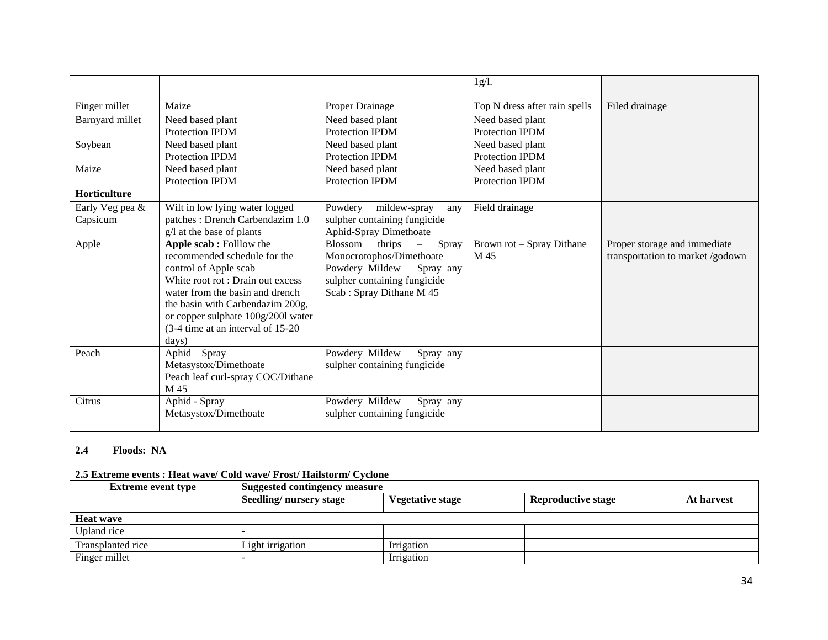|                 |                                    |                                              | 1g/l.                         |                                  |
|-----------------|------------------------------------|----------------------------------------------|-------------------------------|----------------------------------|
|                 |                                    |                                              |                               |                                  |
| Finger millet   | Maize                              | Proper Drainage                              | Top N dress after rain spells | Filed drainage                   |
| Barnyard millet | Need based plant                   | Need based plant                             | Need based plant              |                                  |
|                 | <b>Protection IPDM</b>             | <b>Protection IPDM</b>                       | <b>Protection IPDM</b>        |                                  |
| Soybean         | Need based plant                   | Need based plant                             | Need based plant              |                                  |
|                 | <b>Protection IPDM</b>             | Protection IPDM                              | Protection IPDM               |                                  |
| Maize           | Need based plant                   | Need based plant                             | Need based plant              |                                  |
|                 | Protection IPDM                    | Protection IPDM                              | <b>Protection IPDM</b>        |                                  |
| Horticulture    |                                    |                                              |                               |                                  |
| Early Veg pea & | Wilt in low lying water logged     | Powdery<br>mildew-spray<br>any               | Field drainage                |                                  |
| Capsicum        | patches: Drench Carbendazim 1.0    | sulpher containing fungicide                 |                               |                                  |
|                 | g/l at the base of plants          | Aphid-Spray Dimethoate                       |                               |                                  |
| Apple           | Apple scab: Folllow the            | Blossom<br>$\frac{1}{2}$ thrips $-$<br>Spray | Brown rot - Spray Dithane     | Proper storage and immediate     |
|                 | recommended schedule for the       | Monocrotophos/Dimethoate                     | M 45                          | transportation to market /godown |
|                 | control of Apple scab              | Powdery Mildew - Spray any                   |                               |                                  |
|                 | White root rot: Drain out excess   | sulpher containing fungicide                 |                               |                                  |
|                 | water from the basin and drench    | Scab: Spray Dithane M 45                     |                               |                                  |
|                 | the basin with Carbendazim 200g,   |                                              |                               |                                  |
|                 | or copper sulphate 100g/2001 water |                                              |                               |                                  |
|                 | (3-4 time at an interval of 15-20) |                                              |                               |                                  |
|                 | days)                              |                                              |                               |                                  |
| Peach           | Aphid - Spray                      | Powdery Mildew - Spray any                   |                               |                                  |
|                 | Metasystox/Dimethoate              | sulpher containing fungicide                 |                               |                                  |
|                 | Peach leaf curl-spray COC/Dithane  |                                              |                               |                                  |
|                 | M 45                               |                                              |                               |                                  |
| Citrus          | Aphid - Spray                      | Powdery Mildew - Spray any                   |                               |                                  |
|                 | Metasystox/Dimethoate              | sulpher containing fungicide                 |                               |                                  |
|                 |                                    |                                              |                               |                                  |

### **2.4 Floods: NA**

## **2.5 Extreme events : Heat wave/ Cold wave/ Frost/ Hailstorm/ Cyclone**

| <b>Extreme event type</b> | Suggested contingency measure |                  |                           |            |
|---------------------------|-------------------------------|------------------|---------------------------|------------|
|                           | Seedling/nursery stage        | Vegetative stage | <b>Reproductive stage</b> | At harvest |
| <b>Heat wave</b>          |                               |                  |                           |            |
| Upland rice               |                               |                  |                           |            |
| Transplanted rice         | Light irrigation              | Irrigation       |                           |            |
| Finger millet             |                               | Irrigation       |                           |            |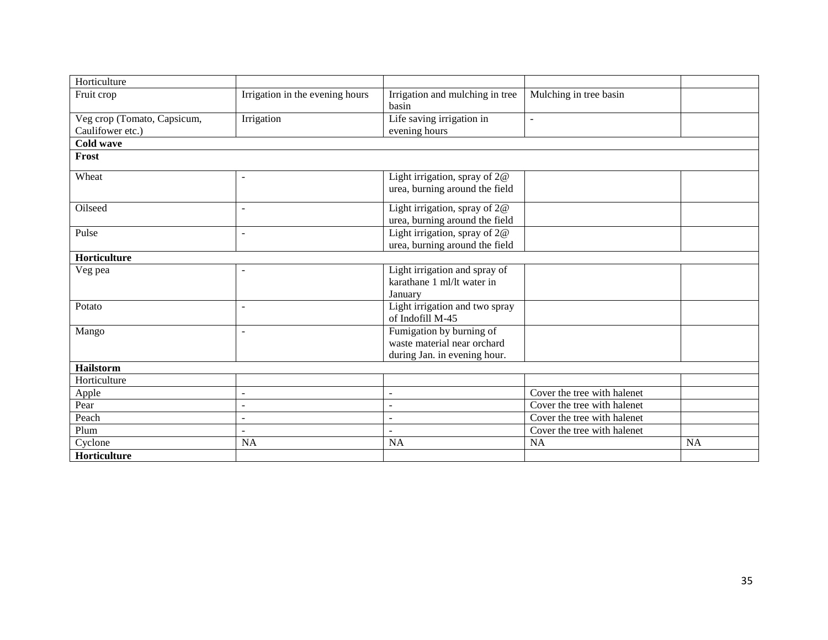| Horticulture                |                                 |                                 |                             |           |
|-----------------------------|---------------------------------|---------------------------------|-----------------------------|-----------|
| Fruit crop                  | Irrigation in the evening hours | Irrigation and mulching in tree | Mulching in tree basin      |           |
|                             |                                 | basin                           |                             |           |
| Veg crop (Tomato, Capsicum, | Irrigation                      | Life saving irrigation in       | $\blacksquare$              |           |
| Caulifower etc.)            |                                 | evening hours                   |                             |           |
| Cold wave                   |                                 |                                 |                             |           |
| Frost                       |                                 |                                 |                             |           |
| Wheat                       | $\blacksquare$                  | Light irrigation, spray of 2@   |                             |           |
|                             |                                 | urea, burning around the field  |                             |           |
|                             |                                 |                                 |                             |           |
| Oilseed                     | $\overline{\phantom{a}}$        | Light irrigation, spray of 2@   |                             |           |
|                             |                                 | urea, burning around the field  |                             |           |
| Pulse                       |                                 | Light irrigation, spray of $2@$ |                             |           |
|                             |                                 | urea, burning around the field  |                             |           |
| Horticulture                |                                 |                                 |                             |           |
| Veg pea                     | ۰                               | Light irrigation and spray of   |                             |           |
|                             |                                 | karathane 1 ml/lt water in      |                             |           |
|                             |                                 | January                         |                             |           |
| Potato                      |                                 | Light irrigation and two spray  |                             |           |
|                             |                                 | of Indofill M-45                |                             |           |
| Mango                       |                                 | Fumigation by burning of        |                             |           |
|                             |                                 | waste material near orchard     |                             |           |
|                             |                                 | during Jan. in evening hour.    |                             |           |
| <b>Hailstorm</b>            |                                 |                                 |                             |           |
| Horticulture                |                                 |                                 |                             |           |
| Apple                       | $\blacksquare$                  | $\overline{a}$                  | Cover the tree with halenet |           |
| Pear                        | $\blacksquare$                  | ۰                               | Cover the tree with halenet |           |
| Peach                       | $\sim$                          | ۰                               | Cover the tree with halenet |           |
| Plum                        |                                 |                                 | Cover the tree with halenet |           |
| Cyclone                     | <b>NA</b>                       | <b>NA</b>                       | <b>NA</b>                   | <b>NA</b> |
| Horticulture                |                                 |                                 |                             |           |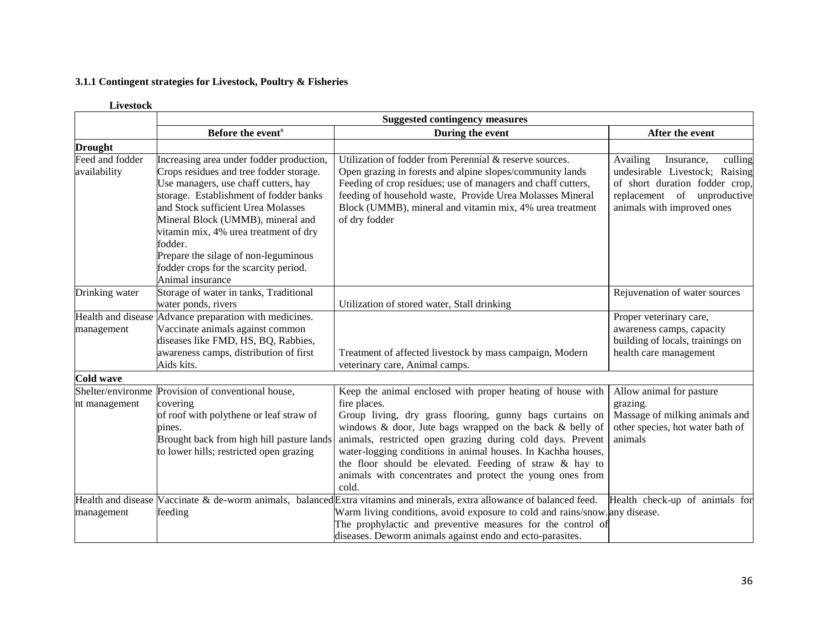## **3.1.1 Contingent strategies for Livestock, Poultry & Fisheries**

|                  |                                                        | <b>Suggested contingency measures</b>                                                                                      |                                   |
|------------------|--------------------------------------------------------|----------------------------------------------------------------------------------------------------------------------------|-----------------------------------|
|                  | Before the event <sup>s</sup>                          | During the event                                                                                                           | After the event                   |
| <b>Drought</b>   |                                                        |                                                                                                                            |                                   |
| Feed and fodder  | Increasing area under fodder production,               | Utilization of fodder from Perennial & reserve sources.                                                                    | Availing<br>culling<br>Insurance, |
| availability     | Crops residues and tree fodder storage.                | Open grazing in forests and alpine slopes/community lands                                                                  | undesirable Livestock; Raising    |
|                  | Use managers, use chaff cutters, hay                   | Feeding of crop residues; use of managers and chaff cutters,                                                               | of short duration fodder crop,    |
|                  | storage. Establishment of fodder banks                 | feeding of household waste, Provide Urea Molasses Mineral                                                                  | replacement of unproductive       |
|                  | and Stock sufficient Urea Molasses                     | Block (UMMB), mineral and vitamin mix, 4% urea treatment                                                                   | animals with improved ones        |
|                  | Mineral Block (UMMB), mineral and                      | of dry fodder                                                                                                              |                                   |
|                  | vitamin mix, 4% urea treatment of dry                  |                                                                                                                            |                                   |
|                  | fodder.                                                |                                                                                                                            |                                   |
|                  | Prepare the silage of non-leguminous                   |                                                                                                                            |                                   |
|                  | fodder crops for the scarcity period.                  |                                                                                                                            |                                   |
|                  | Animal insurance                                       |                                                                                                                            |                                   |
| Drinking water   | Storage of water in tanks, Traditional                 |                                                                                                                            | Rejuvenation of water sources     |
|                  | water ponds, rivers                                    | Utilization of stored water, Stall drinking                                                                                |                                   |
|                  | Health and disease Advance preparation with medicines. |                                                                                                                            | Proper veterinary care,           |
| management       | Vaccinate animals against common                       |                                                                                                                            | awareness camps, capacity         |
|                  | diseases like FMD, HS, BQ, Rabbies,                    |                                                                                                                            | building of locals, trainings on  |
|                  | awareness camps, distribution of first                 | Treatment of affected livestock by mass campaign, Modern                                                                   | health care management            |
|                  | Aids kits.                                             | veterinary care, Animal camps.                                                                                             |                                   |
| <b>Cold wave</b> |                                                        |                                                                                                                            |                                   |
|                  | Shelter/environme Provision of conventional house,     | Keep the animal enclosed with proper heating of house with                                                                 | Allow animal for pasture          |
| nt management    | covering                                               | fire places.                                                                                                               | grazing.                          |
|                  | of roof with polythene or leaf straw of                | Group living, dry grass flooring, gunny bags curtains on                                                                   | Massage of milking animals and    |
|                  | pines.                                                 | windows $\&$ door, Jute bags wrapped on the back $\&$ belly of                                                             | other species, hot water bath of  |
|                  | Brought back from high hill pasture lands              | animals, restricted open grazing during cold days. Prevent                                                                 | animals                           |
|                  | to lower hills; restricted open grazing                | water-logging conditions in animal houses. In Kachha houses,                                                               |                                   |
|                  |                                                        | the floor should be elevated. Feeding of straw & hay to                                                                    |                                   |
|                  |                                                        | animals with concentrates and protect the young ones from                                                                  |                                   |
|                  |                                                        | cold.                                                                                                                      |                                   |
|                  |                                                        | Health and disease Vaccinate $\&$ de-worm animals, balanced Extra vitamins and minerals, extra allowance of balanced feed. | Health check-up of animals for    |
| management       | feeding                                                | Warm living conditions, avoid exposure to cold and rains/snow. any disease.                                                |                                   |
|                  |                                                        | The prophylactic and preventive measures for the control of                                                                |                                   |
|                  |                                                        | diseases. Deworm animals against endo and ecto-parasites.                                                                  |                                   |

#### **Livestock**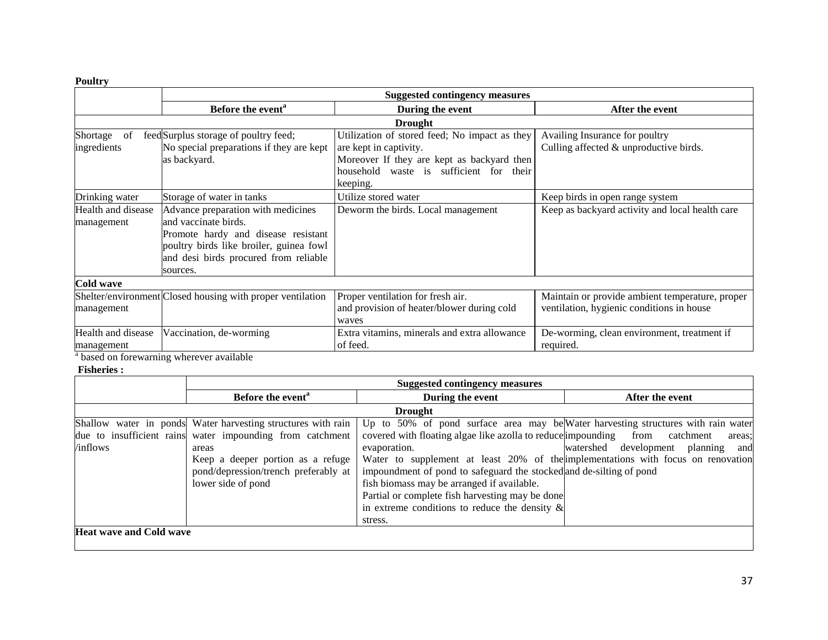## **Poultry**

|                    | <b>Suggested contingency measures</b>                      |                                               |                                                 |  |  |  |
|--------------------|------------------------------------------------------------|-----------------------------------------------|-------------------------------------------------|--|--|--|
|                    | Before the event <sup>a</sup>                              | During the event                              | After the event                                 |  |  |  |
|                    | <b>Drought</b>                                             |                                               |                                                 |  |  |  |
| of<br>Shortage     | feed Surplus storage of poultry feed;                      | Utilization of stored feed; No impact as they | Availing Insurance for poultry                  |  |  |  |
| ingredients        | No special preparations if they are kept                   | are kept in captivity.                        | Culling affected & unproductive birds.          |  |  |  |
|                    | as backyard.                                               | Moreover If they are kept as backyard then    |                                                 |  |  |  |
|                    |                                                            | household waste is sufficient for their       |                                                 |  |  |  |
|                    |                                                            | keeping.                                      |                                                 |  |  |  |
| Drinking water     | Storage of water in tanks                                  | Utilize stored water                          | Keep birds in open range system                 |  |  |  |
| Health and disease | Advance preparation with medicines                         | Deworm the birds. Local management            | Keep as backyard activity and local health care |  |  |  |
| management         | and vaccinate birds.                                       |                                               |                                                 |  |  |  |
|                    | Promote hardy and disease resistant                        |                                               |                                                 |  |  |  |
|                    | poultry birds like broiler, guinea fowl                    |                                               |                                                 |  |  |  |
|                    | and desi birds procured from reliable                      |                                               |                                                 |  |  |  |
|                    | sources.                                                   |                                               |                                                 |  |  |  |
| Cold wave          |                                                            |                                               |                                                 |  |  |  |
|                    | Shelter/environment Closed housing with proper ventilation | Proper ventilation for fresh air.             | Maintain or provide ambient temperature, proper |  |  |  |
| management         |                                                            | and provision of heater/blower during cold    | ventilation, hygienic conditions in house       |  |  |  |
|                    |                                                            | waves                                         |                                                 |  |  |  |
| Health and disease | Vaccination, de-worming                                    | Extra vitamins, minerals and extra allowance  | De-worming, clean environment, treatment if     |  |  |  |
| management         |                                                            | of feed.                                      | required.                                       |  |  |  |

<sup>a</sup> based on forewarning wherever available

## **Fisheries :**

|                                | <b>Suggested contingency measures</b>                        |                                                                                   |                                       |  |
|--------------------------------|--------------------------------------------------------------|-----------------------------------------------------------------------------------|---------------------------------------|--|
|                                | Before the event <sup>a</sup>                                | During the event                                                                  | After the event                       |  |
|                                |                                                              | <b>Drought</b>                                                                    |                                       |  |
|                                | Shallow water in ponds Water harvesting structures with rain | Up to 50% of pond surface area may be Water harvesting structures with rain water |                                       |  |
|                                | due to insufficient rains water impounding from catchment    | covered with floating algae like azolla to reduce impounding from catchment       | areas:                                |  |
| /inflows                       | areas                                                        | evaporation.                                                                      | watershed development planning<br>and |  |
|                                | Keep a deeper portion as a refuge                            | Water to supplement at least 20% of the implementations with focus on renovation  |                                       |  |
|                                | pond/depression/trench preferably at                         | impoundment of pond to safeguard the stocked and de-silting of pond               |                                       |  |
|                                | lower side of pond                                           | fish biomass may be arranged if available.                                        |                                       |  |
|                                |                                                              | Partial or complete fish harvesting may be done                                   |                                       |  |
|                                |                                                              | in extreme conditions to reduce the density $\&$                                  |                                       |  |
|                                |                                                              | stress.                                                                           |                                       |  |
| <b>Heat wave and Cold wave</b> |                                                              |                                                                                   |                                       |  |